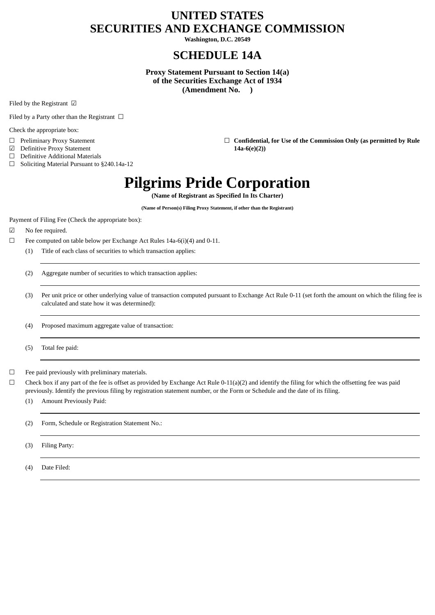# **UNITED STATES SECURITIES AND EXCHANGE COMMISSION**

**Washington, D.C. 20549**

# **SCHEDULE 14A**

**Proxy Statement Pursuant to Section 14(a) of the Securities Exchange Act of 1934 (Amendment No. )**

Filed by the Registrant ☑

Filed by a Party other than the Registrant  $\Box$ 

Check the appropriate box:

- 
- ☑ Definitive Proxy Statement **14a-6(e)(2))**
- $\Box$  Definitive Additional Materials  $\Box$  Soliciting Material Pursuant to
- Soliciting Material Pursuant to §240.14a-12

☐ Preliminary Proxy Statement ☐ **Confidential, for Use of the Commission Only (as permitted by Rule**

# **Pilgrims Pride Corporation**

**(Name of Registrant as Specified In Its Charter)**

**(Name of Person(s) Filing Proxy Statement, if other than the Registrant)**

Payment of Filing Fee (Check the appropriate box):

- ☑ No fee required.
- ☐ Fee computed on table below per Exchange Act Rules 14a-6(i)(4) and 0-11.
	- (1) Title of each class of securities to which transaction applies:

(2) Aggregate number of securities to which transaction applies:

(3) Per unit price or other underlying value of transaction computed pursuant to Exchange Act Rule 0-11 (set forth the amount on which the filing fee is calculated and state how it was determined):

(4) Proposed maximum aggregate value of transaction:

(5) Total fee paid:

 $\Box$  Fee paid previously with preliminary materials.

 $\Box$  Check box if any part of the fee is offset as provided by Exchange Act Rule 0-11(a)(2) and identify the filing for which the offsetting fee was paid previously. Identify the previous filing by registration statement number, or the Form or Schedule and the date of its filing.

(1) Amount Previously Paid:

(2) Form, Schedule or Registration Statement No.:

(3) Filing Party:

(4) Date Filed: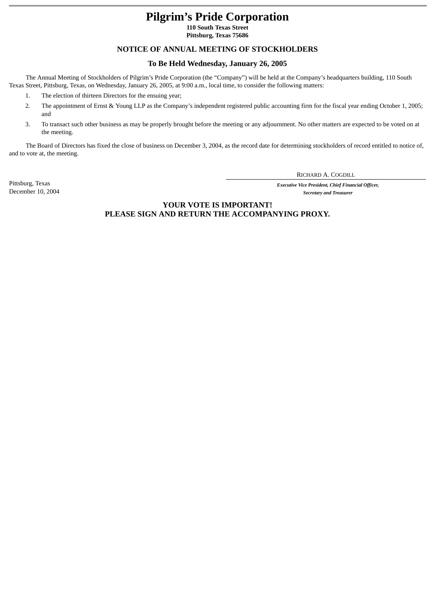# **Pilgrim's Pride Corporation**

**110 South Texas Street Pittsburg, Texas 75686**

# **NOTICE OF ANNUAL MEETING OF STOCKHOLDERS**

# **To Be Held Wednesday, January 26, 2005**

The Annual Meeting of Stockholders of Pilgrim's Pride Corporation (the "Company") will be held at the Company's headquarters building, 110 South Texas Street, Pittsburg, Texas, on Wednesday, January 26, 2005, at 9:00 a.m., local time, to consider the following matters:

- 1. The election of thirteen Directors for the ensuing year;
- 2. The appointment of Ernst & Young LLP as the Company's independent registered public accounting firm for the fiscal year ending October 1, 2005; and
- 3. To transact such other business as may be properly brought before the meeting or any adjournment. No other matters are expected to be voted on at the meeting.

The Board of Directors has fixed the close of business on December 3, 2004, as the record date for determining stockholders of record entitled to notice of, and to vote at, the meeting.

RICHARD A. COGDILL

Pittsburg, Texas *Executive Vice President, Chief Financial Officer,* **Secretary and Treasurer** 

> **YOUR VOTE IS IMPORTANT! PLEASE SIGN AND RETURN THE ACCOMPANYING PROXY.**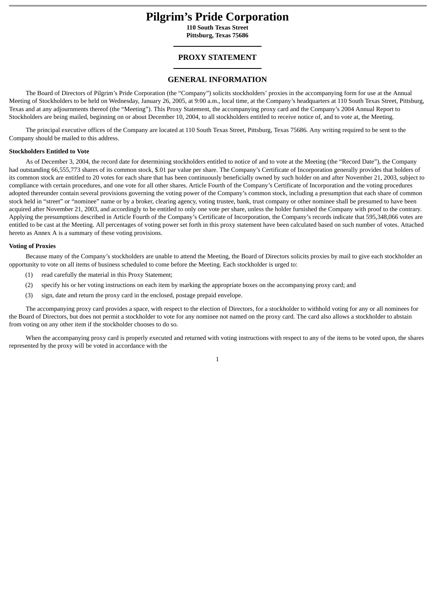# **Pilgrim's Pride Corporation**

**110 South Texas Street Pittsburg, Texas 75686**

# **PROXY STATEMENT**

# **GENERAL INFORMATION**

The Board of Directors of Pilgrim's Pride Corporation (the "Company") solicits stockholders' proxies in the accompanying form for use at the Annual Meeting of Stockholders to be held on Wednesday, January 26, 2005, at 9:00 a.m., local time, at the Company's headquarters at 110 South Texas Street, Pittsburg, Texas and at any adjournments thereof (the "Meeting"). This Proxy Statement, the accompanying proxy card and the Company's 2004 Annual Report to Stockholders are being mailed, beginning on or about December 10, 2004, to all stockholders entitled to receive notice of, and to vote at, the Meeting.

The principal executive offices of the Company are located at 110 South Texas Street, Pittsburg, Texas 75686. Any writing required to be sent to the Company should be mailed to this address.

# **Stockholders Entitled to Vote**

As of December 3, 2004, the record date for determining stockholders entitled to notice of and to vote at the Meeting (the "Record Date"), the Company had outstanding 66,555,773 shares of its common stock, \$.01 par value per share. The Company's Certificate of Incorporation generally provides that holders of its common stock are entitled to 20 votes for each share that has been continuously beneficially owned by such holder on and after November 21, 2003, subject to compliance with certain procedures, and one vote for all other shares. Article Fourth of the Company's Certificate of Incorporation and the voting procedures adopted thereunder contain several provisions governing the voting power of the Company's common stock, including a presumption that each share of common stock held in "street" or "nominee" name or by a broker, clearing agency, voting trustee, bank, trust company or other nominee shall be presumed to have been acquired after November 21, 2003, and accordingly to be entitled to only one vote per share, unless the holder furnished the Company with proof to the contrary. Applying the presumptions described in Article Fourth of the Company's Certificate of Incorporation, the Company's records indicate that 595,348,066 votes are entitled to be cast at the Meeting. All percentages of voting power set forth in this proxy statement have been calculated based on such number of votes. Attached hereto as Annex A is a summary of these voting provisions.

### **Voting of Proxies**

Because many of the Company's stockholders are unable to attend the Meeting, the Board of Directors solicits proxies by mail to give each stockholder an opportunity to vote on all items of business scheduled to come before the Meeting. Each stockholder is urged to:

- (1) read carefully the material in this Proxy Statement;
- (2) specify his or her voting instructions on each item by marking the appropriate boxes on the accompanying proxy card; and
- (3) sign, date and return the proxy card in the enclosed, postage prepaid envelope.

The accompanying proxy card provides a space, with respect to the election of Directors, for a stockholder to withhold voting for any or all nominees for the Board of Directors, but does not permit a stockholder to vote for any nominee not named on the proxy card. The card also allows a stockholder to abstain from voting on any other item if the stockholder chooses to do so.

When the accompanying proxy card is properly executed and returned with voting instructions with respect to any of the items to be voted upon, the shares represented by the proxy will be voted in accordance with the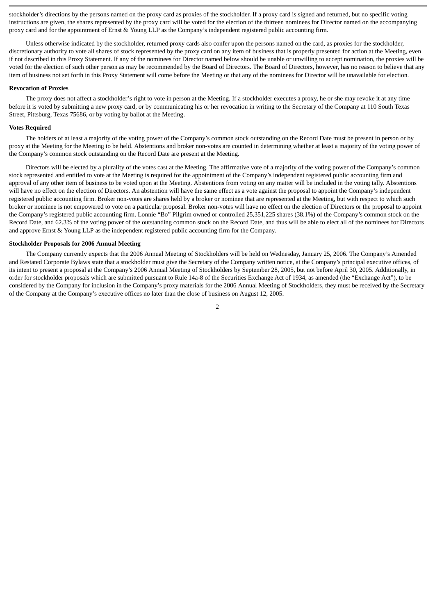stockholder's directions by the persons named on the proxy card as proxies of the stockholder. If a proxy card is signed and returned, but no specific voting instructions are given, the shares represented by the proxy card will be voted for the election of the thirteen nominees for Director named on the accompanying proxy card and for the appointment of Ernst & Young LLP as the Company's independent registered public accounting firm.

Unless otherwise indicated by the stockholder, returned proxy cards also confer upon the persons named on the card, as proxies for the stockholder, discretionary authority to vote all shares of stock represented by the proxy card on any item of business that is properly presented for action at the Meeting, even if not described in this Proxy Statement. If any of the nominees for Director named below should be unable or unwilling to accept nomination, the proxies will be voted for the election of such other person as may be recommended by the Board of Directors. The Board of Directors, however, has no reason to believe that any item of business not set forth in this Proxy Statement will come before the Meeting or that any of the nominees for Director will be unavailable for election.

#### **Revocation of Proxies**

The proxy does not affect a stockholder's right to vote in person at the Meeting. If a stockholder executes a proxy, he or she may revoke it at any time before it is voted by submitting a new proxy card, or by communicating his or her revocation in writing to the Secretary of the Company at 110 South Texas Street, Pittsburg, Texas 75686, or by voting by ballot at the Meeting.

#### **Votes Required**

The holders of at least a majority of the voting power of the Company's common stock outstanding on the Record Date must be present in person or by proxy at the Meeting for the Meeting to be held. Abstentions and broker non-votes are counted in determining whether at least a majority of the voting power of the Company's common stock outstanding on the Record Date are present at the Meeting.

Directors will be elected by a plurality of the votes cast at the Meeting. The affirmative vote of a majority of the voting power of the Company's common stock represented and entitled to vote at the Meeting is required for the appointment of the Company's independent registered public accounting firm and approval of any other item of business to be voted upon at the Meeting. Abstentions from voting on any matter will be included in the voting tally. Abstentions will have no effect on the election of Directors. An abstention will have the same effect as a vote against the proposal to appoint the Company's independent registered public accounting firm. Broker non-votes are shares held by a broker or nominee that are represented at the Meeting, but with respect to which such broker or nominee is not empowered to vote on a particular proposal. Broker non-votes will have no effect on the election of Directors or the proposal to appoint the Company's registered public accounting firm. Lonnie "Bo" Pilgrim owned or controlled 25,351,225 shares (38.1%) of the Company's common stock on the Record Date, and 62.3% of the voting power of the outstanding common stock on the Record Date, and thus will be able to elect all of the nominees for Directors and approve Ernst & Young LLP as the independent registered public accounting firm for the Company.

# **Stockholder Proposals for 2006 Annual Meeting**

The Company currently expects that the 2006 Annual Meeting of Stockholders will be held on Wednesday, January 25, 2006. The Company's Amended and Restated Corporate Bylaws state that a stockholder must give the Secretary of the Company written notice, at the Company's principal executive offices, of its intent to present a proposal at the Company's 2006 Annual Meeting of Stockholders by September 28, 2005, but not before April 30, 2005. Additionally, in order for stockholder proposals which are submitted pursuant to Rule 14a-8 of the Securities Exchange Act of 1934, as amended (the "Exchange Act"), to be considered by the Company for inclusion in the Company's proxy materials for the 2006 Annual Meeting of Stockholders, they must be received by the Secretary of the Company at the Company's executive offices no later than the close of business on August 12, 2005.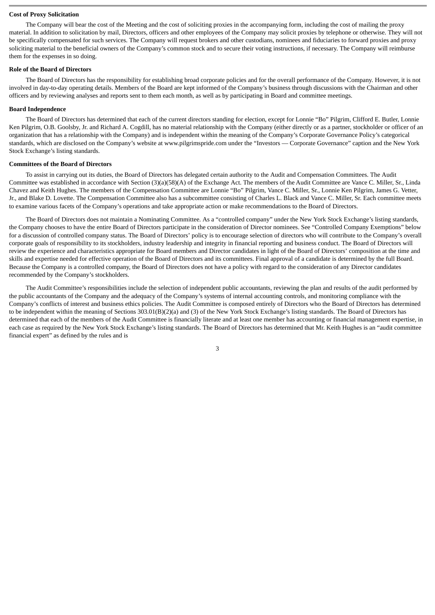## **Cost of Proxy Solicitation**

The Company will bear the cost of the Meeting and the cost of soliciting proxies in the accompanying form, including the cost of mailing the proxy material. In addition to solicitation by mail, Directors, officers and other employees of the Company may solicit proxies by telephone or otherwise. They will not be specifically compensated for such services. The Company will request brokers and other custodians, nominees and fiduciaries to forward proxies and proxy soliciting material to the beneficial owners of the Company's common stock and to secure their voting instructions, if necessary. The Company will reimburse them for the expenses in so doing.

# **Role of the Board of Directors**

The Board of Directors has the responsibility for establishing broad corporate policies and for the overall performance of the Company. However, it is not involved in day-to-day operating details. Members of the Board are kept informed of the Company's business through discussions with the Chairman and other officers and by reviewing analyses and reports sent to them each month, as well as by participating in Board and committee meetings.

# **Board Independence**

The Board of Directors has determined that each of the current directors standing for election, except for Lonnie "Bo" Pilgrim, Clifford E. Butler, Lonnie Ken Pilgrim, O.B. Goolsby, Jr. and Richard A. Cogdill, has no material relationship with the Company (either directly or as a partner, stockholder or officer of an organization that has a relationship with the Company) and is independent within the meaning of the Company's Corporate Governance Policy's categorical standards, which are disclosed on the Company's website at www.pilgrimspride.com under the "Investors — Corporate Governance" caption and the New York Stock Exchange's listing standards.

# **Committees of the Board of Directors**

To assist in carrying out its duties, the Board of Directors has delegated certain authority to the Audit and Compensation Committees. The Audit Committee was established in accordance with Section (3)(a)(58)(A) of the Exchange Act. The members of the Audit Committee are Vance C. Miller, Sr., Linda Chavez and Keith Hughes. The members of the Compensation Committee are Lonnie "Bo" Pilgrim, Vance C. Miller, Sr., Lonnie Ken Pilgrim, James G. Vetter, Jr., and Blake D. Lovette. The Compensation Committee also has a subcommittee consisting of Charles L. Black and Vance C. Miller, Sr. Each committee meets to examine various facets of the Company's operations and take appropriate action or make recommendations to the Board of Directors.

The Board of Directors does not maintain a Nominating Committee. As a "controlled company" under the New York Stock Exchange's listing standards, the Company chooses to have the entire Board of Directors participate in the consideration of Director nominees. See "Controlled Company Exemptions" below for a discussion of controlled company status. The Board of Directors' policy is to encourage selection of directors who will contribute to the Company's overall corporate goals of responsibility to its stockholders, industry leadership and integrity in financial reporting and business conduct. The Board of Directors will review the experience and characteristics appropriate for Board members and Director candidates in light of the Board of Directors' composition at the time and skills and expertise needed for effective operation of the Board of Directors and its committees. Final approval of a candidate is determined by the full Board. Because the Company is a controlled company, the Board of Directors does not have a policy with regard to the consideration of any Director candidates recommended by the Company's stockholders.

The Audit Committee's responsibilities include the selection of independent public accountants, reviewing the plan and results of the audit performed by the public accountants of the Company and the adequacy of the Company's systems of internal accounting controls, and monitoring compliance with the Company's conflicts of interest and business ethics policies. The Audit Committee is composed entirely of Directors who the Board of Directors has determined to be independent within the meaning of Sections 303.01(B)(2)(a) and (3) of the New York Stock Exchange's listing standards. The Board of Directors has determined that each of the members of the Audit Committee is financially literate and at least one member has accounting or financial management expertise, in each case as required by the New York Stock Exchange's listing standards. The Board of Directors has determined that Mr. Keith Hughes is an "audit committee financial expert" as defined by the rules and is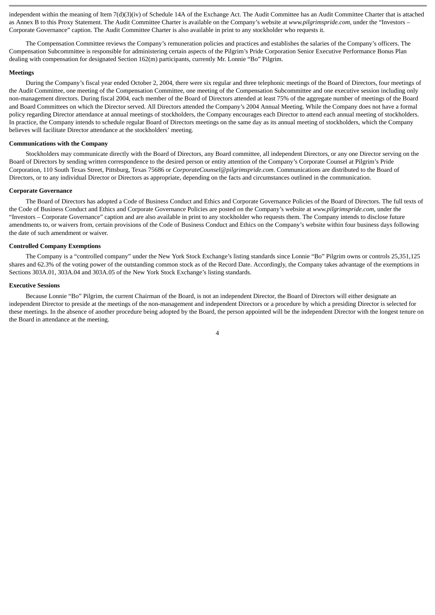independent within the meaning of Item 7(d)(3)(iv) of Schedule 14A of the Exchange Act. The Audit Committee has an Audit Committee Charter that is attached as Annex B to this Proxy Statement. The Audit Committee Charter is available on the Company's website at *www.pilgrimspride.com*, under the "Investors – Corporate Governance" caption. The Audit Committee Charter is also available in print to any stockholder who requests it.

The Compensation Committee reviews the Company's remuneration policies and practices and establishes the salaries of the Company's officers. The Compensation Subcommittee is responsible for administering certain aspects of the Pilgrim's Pride Corporation Senior Executive Performance Bonus Plan dealing with compensation for designated Section 162(m) participants, currently Mr. Lonnie "Bo" Pilgrim.

#### **Meetings**

During the Company's fiscal year ended October 2, 2004, there were six regular and three telephonic meetings of the Board of Directors, four meetings of the Audit Committee, one meeting of the Compensation Committee, one meeting of the Compensation Subcommittee and one executive session including only non-management directors. During fiscal 2004, each member of the Board of Directors attended at least 75% of the aggregate number of meetings of the Board and Board Committees on which the Director served. All Directors attended the Company's 2004 Annual Meeting. While the Company does not have a formal policy regarding Director attendance at annual meetings of stockholders, the Company encourages each Director to attend each annual meeting of stockholders. In practice, the Company intends to schedule regular Board of Directors meetings on the same day as its annual meeting of stockholders, which the Company believes will facilitate Director attendance at the stockholders' meeting.

#### **Communications with the Company**

Stockholders may communicate directly with the Board of Directors, any Board committee, all independent Directors, or any one Director serving on the Board of Directors by sending written correspondence to the desired person or entity attention of the Company's Corporate Counsel at Pilgrim's Pride Corporation, 110 South Texas Street, Pittsburg, Texas 75686 or *CorporateCounsel@pilgrimspride.com*. Communications are distributed to the Board of Directors, or to any individual Director or Directors as appropriate, depending on the facts and circumstances outlined in the communication.

## **Corporate Governance**

The Board of Directors has adopted a Code of Business Conduct and Ethics and Corporate Governance Policies of the Board of Directors. The full texts of the Code of Business Conduct and Ethics and Corporate Governance Policies are posted on the Company's website at *www.pilgrimspride.com*, under the "Investors – Corporate Governance" caption and are also available in print to any stockholder who requests them. The Company intends to disclose future amendments to, or waivers from, certain provisions of the Code of Business Conduct and Ethics on the Company's website within four business days following the date of such amendment or waiver.

# **Controlled Company Exemptions**

The Company is a "controlled company" under the New York Stock Exchange's listing standards since Lonnie "Bo" Pilgrim owns or controls 25,351,125 shares and 62.3% of the voting power of the outstanding common stock as of the Record Date. Accordingly, the Company takes advantage of the exemptions in Sections 303A.01, 303A.04 and 303A.05 of the New York Stock Exchange's listing standards.

### **Executive Sessions**

Because Lonnie "Bo" Pilgrim, the current Chairman of the Board, is not an independent Director, the Board of Directors will either designate an independent Director to preside at the meetings of the non-management and independent Directors or a procedure by which a presiding Director is selected for these meetings. In the absence of another procedure being adopted by the Board, the person appointed will be the independent Director with the longest tenure on the Board in attendance at the meeting.

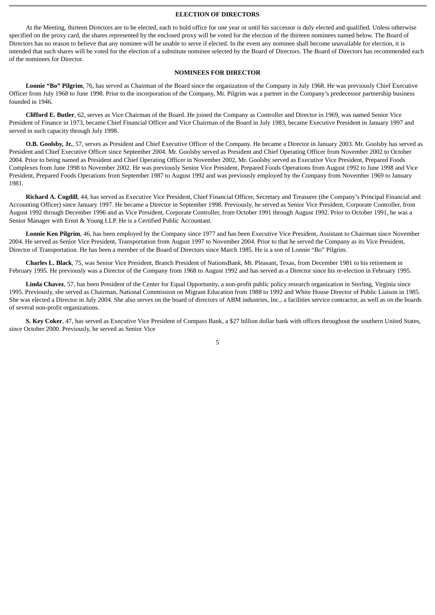# **ELECTION OF DIRECTORS**

At the Meeting, thirteen Directors are to be elected, each to hold office for one year or until his successor is duly elected and qualified. Unless otherwise specified on the proxy card, the shares represented by the enclosed proxy will be voted for the election of the thirteen nominees named below. The Board of Directors has no reason to believe that any nominee will be unable to serve if elected. In the event any nominee shall become unavailable for election, it is intended that such shares will be voted for the election of a substitute nominee selected by the Board of Directors. The Board of Directors has recommended each of the nominees for Director.

# **NOMINEES FOR DIRECTOR**

**Lonnie "Bo" Pilgrim**, 76, has served as Chairman of the Board since the organization of the Company in July 1968. He was previously Chief Executive Officer from July 1968 to June 1998. Prior to the incorporation of the Company, Mr. Pilgrim was a partner in the Company's predecessor partnership business founded in 1946.

**Clifford E. Butler**, 62, serves as Vice Chairman of the Board. He joined the Company as Controller and Director in 1969, was named Senior Vice President of Finance in 1973, became Chief Financial Officer and Vice Chairman of the Board in July 1983, became Executive President in January 1997 and served in such capacity through July 1998.

**O.B. Goolsby, Jr.**, 57, serves as President and Chief Executive Officer of the Company. He became a Director in January 2003. Mr. Goolsby has served as President and Chief Executive Officer since September 2004. Mr. Goolsby served as President and Chief Operating Officer from November 2002 to October 2004. Prior to being named as President and Chief Operating Officer in November 2002, Mr. Goolsby served as Executive Vice President, Prepared Foods Complexes from June 1998 to November 2002. He was previously Senior Vice President, Prepared Foods Operations from August 1992 to June 1998 and Vice President, Prepared Foods Operations from September 1987 to August 1992 and was previously employed by the Company from November 1969 to January 1981.

**Richard A. Cogdill**, 44, has served as Executive Vice President, Chief Financial Officer, Secretary and Treasurer (the Company's Principal Financial and Accounting Officer) since January 1997. He became a Director in September 1998. Previously, he served as Senior Vice President, Corporate Controller, from August 1992 through December 1996 and as Vice President, Corporate Controller, from October 1991 through August 1992. Prior to October 1991, he was a Senior Manager with Ernst & Young LLP. He is a Certified Public Accountant.

**Lonnie Ken Pilgrim**, 46, has been employed by the Company since 1977 and has been Executive Vice President, Assistant to Chairman since November 2004. He served as Senior Vice President, Transportation from August 1997 to November 2004. Prior to that he served the Company as its Vice President, Director of Transportation. He has been a member of the Board of Directors since March 1985. He is a son of Lonnie "Bo" Pilgrim.

**Charles L. Black**, 75, was Senior Vice President, Branch President of NationsBank, Mt. Pleasant, Texas, from December 1981 to his retirement in February 1995*.* He previously was a Director of the Company from 1968 to August 1992 and has served as a Director since his re-election in February 1995.

**Linda Chavez**, 57, has been President of the Center for Equal Opportunity, a non-profit public policy research organization in Sterling, Virginia since 1995. Previously, she served as Chairman, National Commission on Migrant Education from 1988 to 1992 and White House Director of Public Liaison in 1985. She was elected a Director in July 2004. She also serves on the board of directors of ABM industries, Inc., a facilities service contractor, as well as on the boards of several non-profit organizations.

**S. Key Coker**, 47, has served as Executive Vice President of Compass Bank, a \$27 billion dollar bank with offices throughout the southern United States, since October 2000. Previously, he served as Senior Vice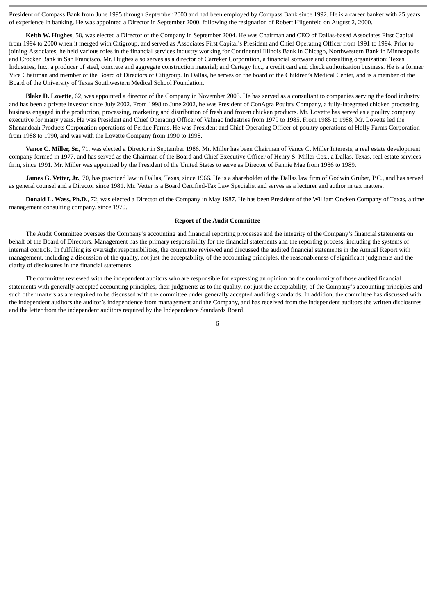President of Compass Bank from June 1995 through September 2000 and had been employed by Compass Bank since 1992. He is a career banker with 25 years of experience in banking. He was appointed a Director in September 2000, following the resignation of Robert Hilgenfeld on August 2, 2000.

**Keith W. Hughes**, 58, was elected a Director of the Company in September 2004. He was Chairman and CEO of Dallas-based Associates First Capital from 1994 to 2000 when it merged with Citigroup, and served as Associates First Capital's President and Chief Operating Officer from 1991 to 1994. Prior to joining Associates, he held various roles in the financial services industry working for Continental Illinois Bank in Chicago, Northwestern Bank in Minneapolis and Crocker Bank in San Francisco. Mr. Hughes also serves as a director of Carreker Corporation, a financial software and consulting organization; Texas Industries, Inc., a producer of steel, concrete and aggregate construction material; and Certegy Inc., a credit card and check authorization business. He is a former Vice Chairman and member of the Board of Directors of Citigroup. In Dallas, he serves on the board of the Children's Medical Center, and is a member of the Board of the University of Texas Southwestern Medical School Foundation.

**Blake D. Lovette**, 62, was appointed a director of the Company in November 2003. He has served as a consultant to companies serving the food industry and has been a private investor since July 2002. From 1998 to June 2002, he was President of ConAgra Poultry Company, a fully-integrated chicken processing business engaged in the production, processing, marketing and distribution of fresh and frozen chicken products. Mr. Lovette has served as a poultry company executive for many years. He was President and Chief Operating Officer of Valmac Industries from 1979 to 1985. From 1985 to 1988, Mr. Lovette led the Shenandoah Products Corporation operations of Perdue Farms. He was President and Chief Operating Officer of poultry operations of Holly Farms Corporation from 1988 to 1990, and was with the Lovette Company from 1990 to 1998.

**Vance C. Miller, Sr.**, 71, was elected a Director in September 1986. Mr. Miller has been Chairman of Vance C. Miller Interests, a real estate development company formed in 1977, and has served as the Chairman of the Board and Chief Executive Officer of Henry S. Miller Cos., a Dallas, Texas, real estate services firm, since 1991. Mr. Miller was appointed by the President of the United States to serve as Director of Fannie Mae from 1986 to 1989.

James G. Vetter, Jr., 70, has practiced law in Dallas, Texas, since 1966. He is a shareholder of the Dallas law firm of Godwin Gruber, P.C., and has served as general counsel and a Director since 1981. Mr. Vetter is a Board Certified-Tax Law Specialist and serves as a lecturer and author in tax matters.

**Donald L. Wass, Ph.D.**, 72, was elected a Director of the Company in May 1987. He has been President of the William Oncken Company of Texas, a time management consulting company, since 1970.

#### **Report of the Audit Committee**

The Audit Committee oversees the Company's accounting and financial reporting processes and the integrity of the Company's financial statements on behalf of the Board of Directors. Management has the primary responsibility for the financial statements and the reporting process, including the systems of internal controls. In fulfilling its oversight responsibilities, the committee reviewed and discussed the audited financial statements in the Annual Report with management, including a discussion of the quality, not just the acceptability, of the accounting principles, the reasonableness of significant judgments and the clarity of disclosures in the financial statements.

The committee reviewed with the independent auditors who are responsible for expressing an opinion on the conformity of those audited financial statements with generally accepted accounting principles, their judgments as to the quality, not just the acceptability, of the Company's accounting principles and such other matters as are required to be discussed with the committee under generally accepted auditing standards. In addition, the committee has discussed with the independent auditors the auditor's independence from management and the Company, and has received from the independent auditors the written disclosures and the letter from the independent auditors required by the Independence Standards Board.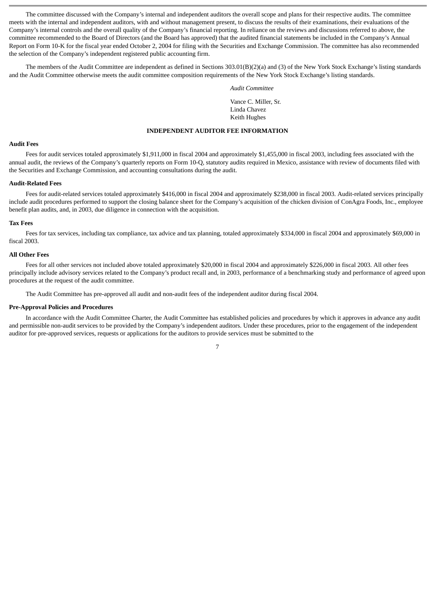The committee discussed with the Company's internal and independent auditors the overall scope and plans for their respective audits. The committee meets with the internal and independent auditors, with and without management present, to discuss the results of their examinations, their evaluations of the Company's internal controls and the overall quality of the Company's financial reporting. In reliance on the reviews and discussions referred to above, the committee recommended to the Board of Directors (and the Board has approved) that the audited financial statements be included in the Company's Annual Report on Form 10-K for the fiscal year ended October 2, 2004 for filing with the Securities and Exchange Commission. The committee has also recommended the selection of the Company's independent registered public accounting firm.

The members of the Audit Committee are independent as defined in Sections 303.01(B)(2)(a) and (3) of the New York Stock Exchange's listing standards and the Audit Committee otherwise meets the audit committee composition requirements of the New York Stock Exchange's listing standards.

#### *Audit Committee*

Vance C. Miller, Sr. Linda Chavez Keith Hughes

# **INDEPENDENT AUDITOR FEE INFORMATION**

# **Audit Fees**

Fees for audit services totaled approximately \$1,911,000 in fiscal 2004 and approximately \$1,455,000 in fiscal 2003, including fees associated with the annual audit, the reviews of the Company's quarterly reports on Form 10-Q, statutory audits required in Mexico, assistance with review of documents filed with the Securities and Exchange Commission, and accounting consultations during the audit.

# **Audit-Related Fees**

Fees for audit-related services totaled approximately \$416,000 in fiscal 2004 and approximately \$238,000 in fiscal 2003. Audit-related services principally include audit procedures performed to support the closing balance sheet for the Company's acquisition of the chicken division of ConAgra Foods, Inc., employee benefit plan audits, and, in 2003, due diligence in connection with the acquisition.

#### **Tax Fees**

Fees for tax services, including tax compliance, tax advice and tax planning, totaled approximately \$334,000 in fiscal 2004 and approximately \$69,000 in fiscal 2003.

# **All Other Fees**

Fees for all other services not included above totaled approximately \$20,000 in fiscal 2004 and approximately \$226,000 in fiscal 2003. All other fees principally include advisory services related to the Company's product recall and, in 2003, performance of a benchmarking study and performance of agreed upon procedures at the request of the audit committee.

The Audit Committee has pre-approved all audit and non-audit fees of the independent auditor during fiscal 2004.

#### **Pre-Approval Policies and Procedures**

In accordance with the Audit Committee Charter, the Audit Committee has established policies and procedures by which it approves in advance any audit and permissible non-audit services to be provided by the Company's independent auditors. Under these procedures, prior to the engagement of the independent auditor for pre-approved services, requests or applications for the auditors to provide services must be submitted to the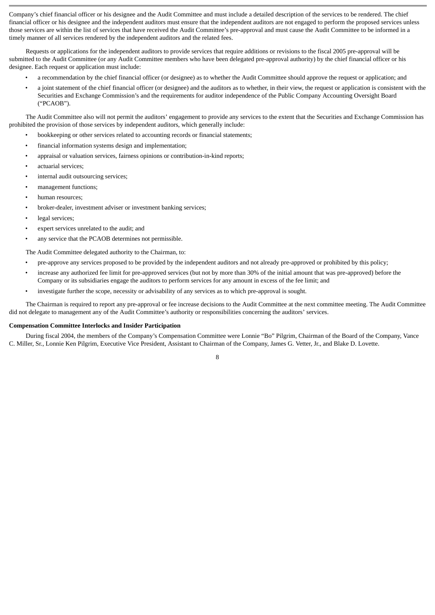Company's chief financial officer or his designee and the Audit Committee and must include a detailed description of the services to be rendered. The chief financial officer or his designee and the independent auditors must ensure that the independent auditors are not engaged to perform the proposed services unless those services are within the list of services that have received the Audit Committee's pre-approval and must cause the Audit Committee to be informed in a timely manner of all services rendered by the independent auditors and the related fees.

Requests or applications for the independent auditors to provide services that require additions or revisions to the fiscal 2005 pre-approval will be submitted to the Audit Committee (or any Audit Committee members who have been delegated pre-approval authority) by the chief financial officer or his designee. Each request or application must include:

- a recommendation by the chief financial officer (or designee) as to whether the Audit Committee should approve the request or application; and
- a joint statement of the chief financial officer (or designee) and the auditors as to whether, in their view, the request or application is consistent with the Securities and Exchange Commission's and the requirements for auditor independence of the Public Company Accounting Oversight Board ("PCAOB").

The Audit Committee also will not permit the auditors' engagement to provide any services to the extent that the Securities and Exchange Commission has prohibited the provision of those services by independent auditors, which generally include:

- bookkeeping or other services related to accounting records or financial statements;
- financial information systems design and implementation;
- appraisal or valuation services, fairness opinions or contribution-in-kind reports;
- actuarial services:
- internal audit outsourcing services:
- management functions;
- human resources;
- broker-dealer, investment adviser or investment banking services;
- legal services;
- expert services unrelated to the audit; and
- any service that the PCAOB determines not permissible.

The Audit Committee delegated authority to the Chairman, to:

- pre-approve any services proposed to be provided by the independent auditors and not already pre-approved or prohibited by this policy;
- increase any authorized fee limit for pre-approved services (but not by more than 30% of the initial amount that was pre-approved) before the Company or its subsidiaries engage the auditors to perform services for any amount in excess of the fee limit; and
- investigate further the scope, necessity or advisability of any services as to which pre-approval is sought.

The Chairman is required to report any pre-approval or fee increase decisions to the Audit Committee at the next committee meeting. The Audit Committee did not delegate to management any of the Audit Committee's authority or responsibilities concerning the auditors' services.

#### **Compensation Committee Interlocks and Insider Participation**

During fiscal 2004, the members of the Company's Compensation Committee were Lonnie "Bo" Pilgrim, Chairman of the Board of the Company, Vance C. Miller, Sr., Lonnie Ken Pilgrim, Executive Vice President, Assistant to Chairman of the Company, James G. Vetter, Jr., and Blake D. Lovette.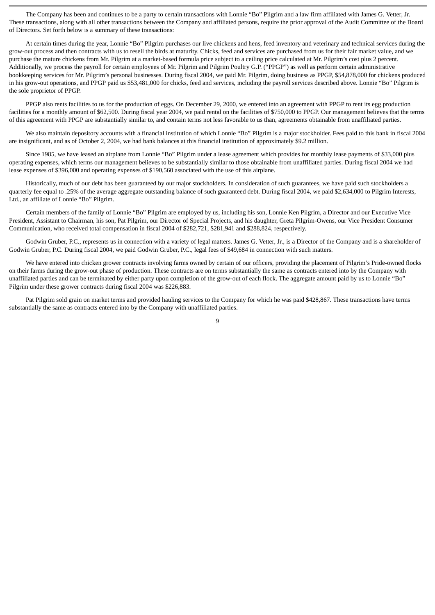The Company has been and continues to be a party to certain transactions with Lonnie "Bo" Pilgrim and a law firm affiliated with James G. Vetter, Jr. These transactions, along with all other transactions between the Company and affiliated persons, require the prior approval of the Audit Committee of the Board of Directors. Set forth below is a summary of these transactions:

At certain times during the year, Lonnie "Bo" Pilgrim purchases our live chickens and hens, feed inventory and veterinary and technical services during the grow-out process and then contracts with us to resell the birds at maturity. Chicks, feed and services are purchased from us for their fair market value, and we purchase the mature chickens from Mr. Pilgrim at a market-based formula price subject to a ceiling price calculated at Mr. Pilgrim's cost plus 2 percent. Additionally, we process the payroll for certain employees of Mr. Pilgrim and Pilgrim Poultry G.P. ("PPGP") as well as perform certain administrative bookkeeping services for Mr. Pilgrim's personal businesses. During fiscal 2004, we paid Mr. Pilgrim, doing business as PPGP, \$54,878,000 for chickens produced in his grow-out operations, and PPGP paid us \$53,481,000 for chicks, feed and services, including the payroll services described above. Lonnie "Bo" Pilgrim is the sole proprietor of PPGP.

PPGP also rents facilities to us for the production of eggs. On December 29, 2000, we entered into an agreement with PPGP to rent its egg production facilities for a monthly amount of \$62,500. During fiscal year 2004, we paid rental on the facilities of \$750,000 to PPGP. Our management believes that the terms of this agreement with PPGP are substantially similar to, and contain terms not less favorable to us than, agreements obtainable from unaffiliated parties.

We also maintain depository accounts with a financial institution of which Lonnie "Bo" Pilgrim is a major stockholder. Fees paid to this bank in fiscal 2004 are insignificant, and as of October 2, 2004, we had bank balances at this financial institution of approximately \$9.2 million.

Since 1985, we have leased an airplane from Lonnie "Bo" Pilgrim under a lease agreement which provides for monthly lease payments of \$33,000 plus operating expenses, which terms our management believes to be substantially similar to those obtainable from unaffiliated parties. During fiscal 2004 we had lease expenses of \$396,000 and operating expenses of \$190,560 associated with the use of this airplane.

Historically, much of our debt has been guaranteed by our major stockholders. In consideration of such guarantees, we have paid such stockholders a quarterly fee equal to .25% of the average aggregate outstanding balance of such guaranteed debt. During fiscal 2004, we paid \$2,634,000 to Pilgrim Interests, Ltd., an affiliate of Lonnie "Bo" Pilgrim.

Certain members of the family of Lonnie "Bo" Pilgrim are employed by us, including his son, Lonnie Ken Pilgrim, a Director and our Executive Vice President, Assistant to Chairman, his son, Pat Pilgrim, our Director of Special Projects, and his daughter, Greta Pilgrim-Owens, our Vice President Consumer Communication, who received total compensation in fiscal 2004 of \$282,721, \$281,941 and \$288,824, respectively.

Godwin Gruber, P.C., represents us in connection with a variety of legal matters. James G. Vetter, Jr., is a Director of the Company and is a shareholder of Godwin Gruber, P.C. During fiscal 2004, we paid Godwin Gruber, P.C., legal fees of \$49,684 in connection with such matters.

We have entered into chicken grower contracts involving farms owned by certain of our officers, providing the placement of Pilgrim's Pride-owned flocks on their farms during the grow-out phase of production. These contracts are on terms substantially the same as contracts entered into by the Company with unaffiliated parties and can be terminated by either party upon completion of the grow-out of each flock. The aggregate amount paid by us to Lonnie "Bo" Pilgrim under these grower contracts during fiscal 2004 was \$226,883.

Pat Pilgrim sold grain on market terms and provided hauling services to the Company for which he was paid \$428,867. These transactions have terms substantially the same as contracts entered into by the Company with unaffiliated parties.

 $\alpha$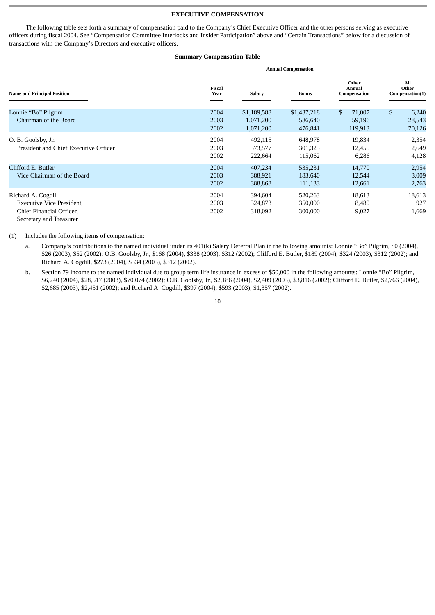# **EXECUTIVE COMPENSATION**

The following table sets forth a summary of compensation paid to the Company's Chief Executive Officer and the other persons serving as executive officers during fiscal 2004. See "Compensation Committee Interlocks and Insider Participation" above and "Certain Transactions" below for a discussion of transactions with the Company's Directors and executive officers.

# **Summary Compensation Table**

|                                                                                                               | <b>Annual Compensation</b> |                                       |                                   |                                   |                                 |
|---------------------------------------------------------------------------------------------------------------|----------------------------|---------------------------------------|-----------------------------------|-----------------------------------|---------------------------------|
| <b>Name and Principal Position</b>                                                                            | <b>Fiscal</b><br>Year      | Salary                                | <b>Bonus</b>                      | Other<br>Annual<br>Compensation   | All<br>Other<br>Compensation(1) |
| Lonnie "Bo" Pilgrim<br>Chairman of the Board                                                                  | 2004<br>2003<br>2002       | \$1,189,588<br>1,071,200<br>1,071,200 | \$1,437,218<br>586,640<br>476,841 | \$<br>71,007<br>59,196<br>119,913 | \$<br>6,240<br>28,543<br>70,126 |
| O. B. Goolsby, Jr.<br>President and Chief Executive Officer                                                   | 2004<br>2003<br>2002       | 492,115<br>373,577<br>222,664         | 648,978<br>301,325<br>115,062     | 19,834<br>12,455<br>6,286         | 2,354<br>2,649<br>4,128         |
| Clifford E. Butler<br>Vice Chairman of the Board                                                              | 2004<br>2003<br>2002       | 407,234<br>388,921<br>388,868         | 535,231<br>183,640<br>111,133     | 14,770<br>12,544<br>12,661        | 2,954<br>3,009<br>2,763         |
| Richard A. Cogdill<br><b>Executive Vice President,</b><br>Chief Financial Officer,<br>Secretary and Treasurer | 2004<br>2003<br>2002       | 394,604<br>324,873<br>318,092         | 520,263<br>350,000<br>300,000     | 18,613<br>8,480<br>9,027          | 18,613<br>927<br>1,669          |

(1) Includes the following items of compensation:

a. Company's contributions to the named individual under its 401(k) Salary Deferral Plan in the following amounts: Lonnie "Bo" Pilgrim, \$0 (2004), \$26 (2003), \$52 (2002); O.B. Goolsby, Jr., \$168 (2004), \$338 (2003), \$312 (2002); Clifford E. Butler, \$189 (2004), \$324 (2003), \$312 (2002); and Richard A. Cogdill, \$273 (2004), \$334 (2003), \$312 (2002).

b. Section 79 income to the named individual due to group term life insurance in excess of \$50,000 in the following amounts: Lonnie "Bo" Pilgrim, \$6,240 (2004), \$28,517 (2003), \$70,074 (2002); O.B. Goolsby, Jr., \$2,186 (2004), \$2,409 (2003), \$3,816 (2002); Clifford E. Butler, \$2,766 (2004), \$2,685 (2003), \$2,451 (2002); and Richard A. Cogdill, \$397 (2004), \$593 (2003), \$1,357 (2002).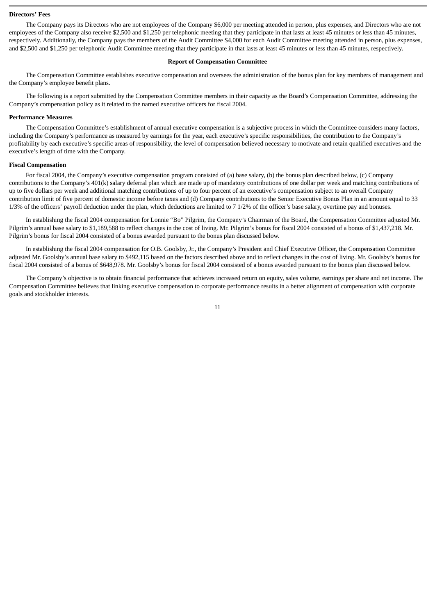# **Directors' Fees**

The Company pays its Directors who are not employees of the Company \$6,000 per meeting attended in person, plus expenses, and Directors who are not employees of the Company also receive \$2,500 and \$1,250 per telephonic meeting that they participate in that lasts at least 45 minutes or less than 45 minutes, respectively. Additionally, the Company pays the members of the Audit Committee \$4,000 for each Audit Committee meeting attended in person, plus expenses, and \$2,500 and \$1,250 per telephonic Audit Committee meeting that they participate in that lasts at least 45 minutes or less than 45 minutes, respectively.

# **Report of Compensation Committee**

The Compensation Committee establishes executive compensation and oversees the administration of the bonus plan for key members of management and the Company's employee benefit plans.

The following is a report submitted by the Compensation Committee members in their capacity as the Board's Compensation Committee, addressing the Company's compensation policy as it related to the named executive officers for fiscal 2004.

#### **Performance Measures**

The Compensation Committee's establishment of annual executive compensation is a subjective process in which the Committee considers many factors, including the Company's performance as measured by earnings for the year, each executive's specific responsibilities, the contribution to the Company's profitability by each executive's specific areas of responsibility, the level of compensation believed necessary to motivate and retain qualified executives and the executive's length of time with the Company.

#### **Fiscal Compensation**

For fiscal 2004, the Company's executive compensation program consisted of (a) base salary, (b) the bonus plan described below, (c) Company contributions to the Company's 401(k) salary deferral plan which are made up of mandatory contributions of one dollar per week and matching contributions of up to five dollars per week and additional matching contributions of up to four percent of an executive's compensation subject to an overall Company contribution limit of five percent of domestic income before taxes and (d) Company contributions to the Senior Executive Bonus Plan in an amount equal to 33 1/3% of the officers' payroll deduction under the plan, which deductions are limited to 7 1/2% of the officer's base salary, overtime pay and bonuses.

In establishing the fiscal 2004 compensation for Lonnie "Bo" Pilgrim, the Company's Chairman of the Board, the Compensation Committee adjusted Mr. Pilgrim's annual base salary to \$1,189,588 to reflect changes in the cost of living. Mr. Pilgrim's bonus for fiscal 2004 consisted of a bonus of \$1,437,218. Mr. Pilgrim's bonus for fiscal 2004 consisted of a bonus awarded pursuant to the bonus plan discussed below.

In establishing the fiscal 2004 compensation for O.B. Goolsby, Jr., the Company's President and Chief Executive Officer, the Compensation Committee adjusted Mr. Goolsby's annual base salary to \$492,115 based on the factors described above and to reflect changes in the cost of living. Mr. Goolsby's bonus for fiscal 2004 consisted of a bonus of \$648,978. Mr. Goolsby's bonus for fiscal 2004 consisted of a bonus awarded pursuant to the bonus plan discussed below.

The Company's objective is to obtain financial performance that achieves increased return on equity, sales volume, earnings per share and net income. The Compensation Committee believes that linking executive compensation to corporate performance results in a better alignment of compensation with corporate goals and stockholder interests.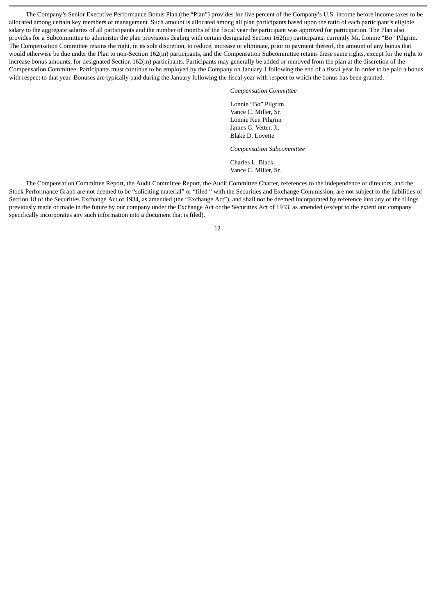The Company's Senior Executive Performance Bonus Plan (the "Plan") provides for five percent of the Company's U.S. income before income taxes to be allocated among certain key members of management. Such amount is allocated among all plan participants based upon the ratio of each participant's eligible salary to the aggregate salaries of all participants and the number of months of the fiscal year the participant was approved for participation. The Plan also provides for a Subcommittee to administer the plan provisions dealing with certain designated Section 162(m) participants, currently Mr. Lonnie "Bo" Pilgrim. The Compensation Committee retains the right, in its sole discretion, to reduce, increase or eliminate, prior to payment thereof, the amount of any bonus that would otherwise be due under the Plan to non-Section 162(m) participants, and the Compensation Subcommittee retains these same rights, except for the right to increase bonus amounts, for designated Section 162(m) participants. Participants may generally be added or removed from the plan at the discretion of the Compensation Committee. Participants must continue to be employed by the Company on January 1 following the end of a fiscal year in order to be paid a bonus with respect to that year. Bonuses are typically paid during the January following the fiscal year with respect to which the bonus has been granted.

*Compensation Committee*

Lonnie "Bo" Pilgrim Vance C. Miller, Sr. Lonnie Ken Pilgrim James G. Vetter, Jr. Blake D. Lovette

*Compensation Subcommittee*

Charles L. Black Vance C. Miller, Sr.

The Compensation Committee Report, the Audit Committee Report, the Audit Committee Charter, references to the independence of directors, and the Stock Performance Graph are not deemed to be "soliciting material" or "filed " with the Securities and Exchange Commission, are not subject to the liabilities of Section 18 of the Securities Exchange Act of 1934, as amended (the "Exchange Act"), and shall not be deemed incorporated by reference into any of the filings previously made or made in the future by our company under the Exchange Act or the Securities Act of 1933, as amended (except to the extent our company specifically incorporates any such information into a document that is filed).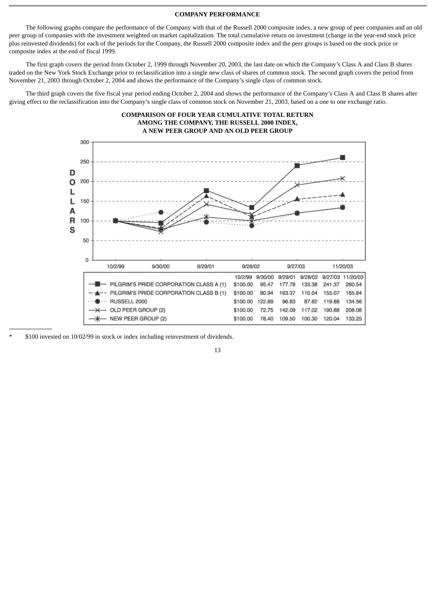# **COMPANY PERFORMANCE**

The following graphs compare the performance of the Company with that of the Russell 2000 composite index, a new group of peer companies and an old peer group of companies with the investment weighted on market capitalization. The total cumulative return on investment (change in the year-end stock price plus reinvested dividends) for each of the periods for the Company, the Russell 2000 composite index and the peer groups is based on the stock price or composite index at the end of fiscal 1999.

The first graph covers the period from October 2, 1999 through November 20, 2003, the last date on which the Company's Class A and Class B shares traded on the New York Stock Exchange prior to reclassification into a single new class of shares of common stock. The second graph covers the period from November 21, 2003 through October 2, 2004 and shows the performance of the Company's single class of common stock.

The third graph covers the five fiscal year period ending October 2, 2004 and shows the performance of the Company's Class A and Class B shares after giving effect to the reclassification into the Company's single class of common stock on November 21, 2003, based on a one to one exchange ratio.



\* \$100 invested on 10/02/99 in stock or index including reinvestment of dividends.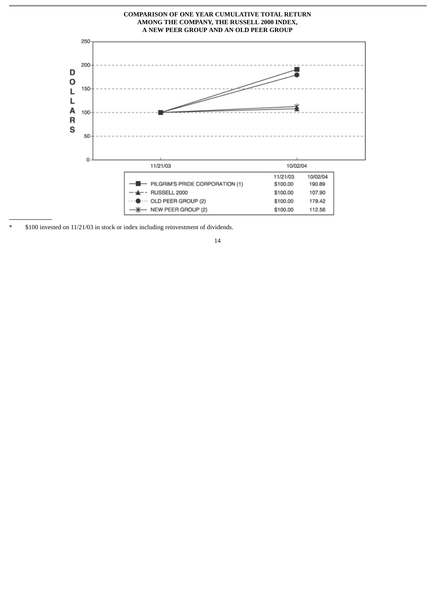

\* \$100 invested on 11/21/03 in stock or index including reinvestment of dividends.

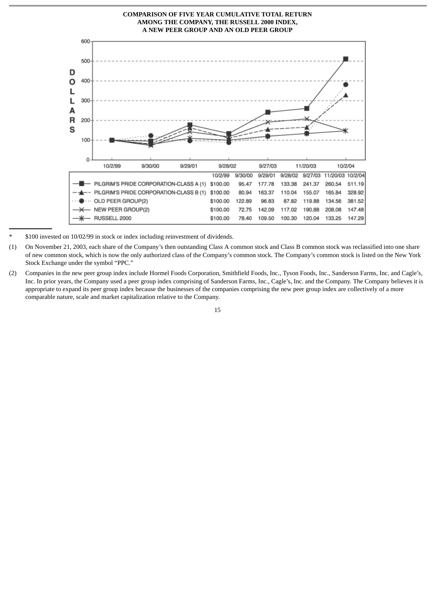

\* \$100 invested on 10/02/99 in stock or index including reinvestment of dividends.

- (1) On November 21, 2003, each share of the Company's then outstanding Class A common stock and Class B common stock was reclassified into one share of new common stock, which is now the only authorized class of the Company's common stock. The Company's common stock is listed on the New York Stock Exchange under the symbol "PPC."
- (2) Companies in the new peer group index include Hormel Foods Corporation, Smithfield Foods, Inc., Tyson Foods, Inc., Sanderson Farms, Inc. and Cagle's, Inc. In prior years, the Company used a peer group index comprising of Sanderson Farms, Inc., Cagle's, Inc. and the Company. The Company believes it is appropriate to expand its peer group index because the businesses of the companies comprising the new peer group index are collectively of a more comparable nature, scale and market capitalization relative to the Company.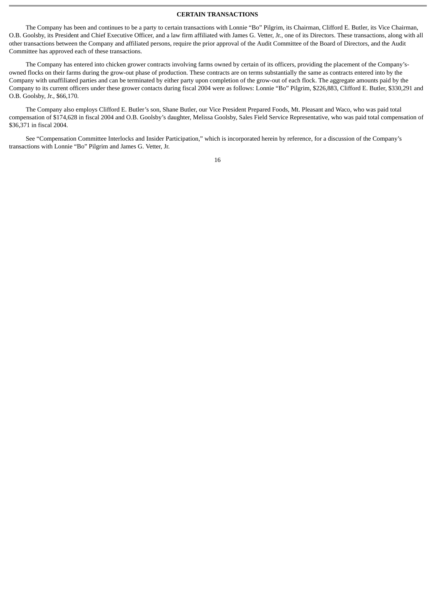# **CERTAIN TRANSACTIONS**

The Company has been and continues to be a party to certain transactions with Lonnie "Bo" Pilgrim, its Chairman, Clifford E. Butler, its Vice Chairman, O.B. Goolsby, its President and Chief Executive Officer, and a law firm affiliated with James G. Vetter, Jr., one of its Directors. These transactions, along with all other transactions between the Company and affiliated persons, require the prior approval of the Audit Committee of the Board of Directors, and the Audit Committee has approved each of these transactions.

The Company has entered into chicken grower contracts involving farms owned by certain of its officers, providing the placement of the Company'sowned flocks on their farms during the grow-out phase of production. These contracts are on terms substantially the same as contracts entered into by the Company with unaffiliated parties and can be terminated by either party upon completion of the grow-out of each flock. The aggregate amounts paid by the Company to its current officers under these grower contacts during fiscal 2004 were as follows: Lonnie "Bo" Pilgrim, \$226,883, Clifford E. Butler, \$330,291 and O.B. Goolsby, Jr., \$66,170.

The Company also employs Clifford E. Butler's son, Shane Butler, our Vice President Prepared Foods, Mt. Pleasant and Waco, who was paid total compensation of \$174,628 in fiscal 2004 and O.B. Goolsby's daughter, Melissa Goolsby, Sales Field Service Representative, who was paid total compensation of \$36,371 in fiscal 2004.

See "Compensation Committee Interlocks and Insider Participation," which is incorporated herein by reference, for a discussion of the Company's transactions with Lonnie "Bo" Pilgrim and James G. Vetter, Jr.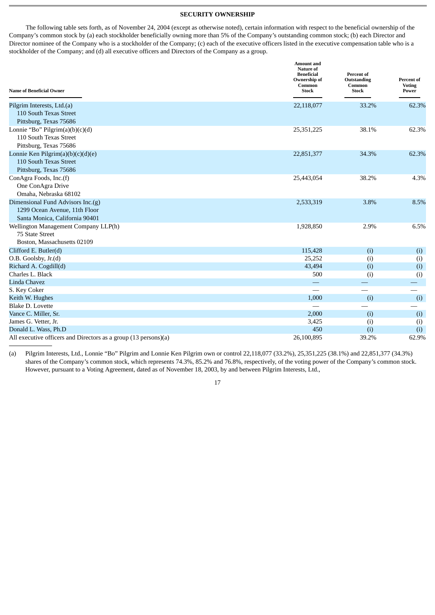# **SECURITY OWNERSHIP**

The following table sets forth, as of November 24, 2004 (except as otherwise noted), certain information with respect to the beneficial ownership of the Company's common stock by (a) each stockholder beneficially owning more than 5% of the Company's outstanding common stock; (b) each Director and Director nominee of the Company who is a stockholder of the Company; (c) each of the executive officers listed in the executive compensation table who is a stockholder of the Company; and (d) all executive officers and Directors of the Company as a group.

| <b>Name of Beneficial Owner</b>                                 | <b>Amount and</b><br>Nature of<br><b>Beneficial</b><br>Ownership of<br>Common<br>Stock | Percent of<br>Outstanding<br>Common<br><b>Stock</b> | Percent of<br><b>Voting</b><br>Power |
|-----------------------------------------------------------------|----------------------------------------------------------------------------------------|-----------------------------------------------------|--------------------------------------|
| Pilgrim Interests, Ltd.(a)                                      | 22,118,077                                                                             | 33.2%                                               | 62.3%                                |
| 110 South Texas Street                                          |                                                                                        |                                                     |                                      |
| Pittsburg, Texas 75686                                          |                                                                                        |                                                     |                                      |
| Lonnie "Bo" Pilgrim $(a)(b)(c)(d)$                              | 25,351,225                                                                             | 38.1%                                               | 62.3%                                |
| 110 South Texas Street                                          |                                                                                        |                                                     |                                      |
| Pittsburg, Texas 75686                                          |                                                                                        |                                                     |                                      |
| Lonnie Ken Pilgrim(a)(b)(c)(d)(e)                               | 22,851,377                                                                             | 34.3%                                               | 62.3%                                |
| 110 South Texas Street                                          |                                                                                        |                                                     |                                      |
| Pittsburg, Texas 75686                                          |                                                                                        |                                                     |                                      |
| ConAgra Foods, Inc.(f)                                          | 25,443,054                                                                             | 38.2%                                               | 4.3%                                 |
| One ConAgra Drive                                               |                                                                                        |                                                     |                                      |
| Omaha, Nebraska 68102                                           |                                                                                        |                                                     |                                      |
| Dimensional Fund Advisors Inc.(g)                               | 2,533,319                                                                              | 3.8%                                                | 8.5%                                 |
| 1299 Ocean Avenue, 11th Floor                                   |                                                                                        |                                                     |                                      |
| Santa Monica, California 90401                                  |                                                                                        |                                                     |                                      |
| Wellington Management Company LLP(h)                            | 1,928,850                                                                              | 2.9%                                                | 6.5%                                 |
| 75 State Street                                                 |                                                                                        |                                                     |                                      |
| Boston, Massachusetts 02109                                     |                                                                                        |                                                     |                                      |
| Clifford E. Butler(d)                                           | 115,428                                                                                | (i)                                                 | (i)                                  |
| O.B. Goolsby, Jr.(d)                                            | 25,252                                                                                 | (i)                                                 | (i)                                  |
| Richard A. Cogdill(d)                                           | 43,494                                                                                 | (i)                                                 | (i)                                  |
| Charles L. Black                                                | 500                                                                                    | (i)                                                 | (i)                                  |
| <b>Linda Chavez</b>                                             |                                                                                        |                                                     |                                      |
| S. Key Coker                                                    |                                                                                        |                                                     |                                      |
| Keith W. Hughes                                                 | 1,000                                                                                  | (i)                                                 | (i)                                  |
| <b>Blake D. Lovette</b>                                         |                                                                                        |                                                     |                                      |
| Vance C. Miller, Sr.                                            | 2,000                                                                                  | (i)                                                 | (i)                                  |
| James G. Vetter, Jr.                                            | 3,425                                                                                  | (i)                                                 | (i)                                  |
| Donald L. Wass, Ph.D                                            | 450                                                                                    | (i)                                                 | (i)                                  |
| All executive officers and Directors as a group (13 persons)(a) | 26,100,895                                                                             | 39.2%                                               | 62.9%                                |

(a) Pilgrim Interests, Ltd., Lonnie "Bo" Pilgrim and Lonnie Ken Pilgrim own or control 22,118,077 (33.2%), 25,351,225 (38.1%) and 22,851,377 (34.3%) shares of the Company's common stock, which represents 74.3%, 85.2% and 76.8%, respectively, of the voting power of the Company's common stock. However, pursuant to a Voting Agreement, dated as of November 18, 2003, by and between Pilgrim Interests, Ltd.,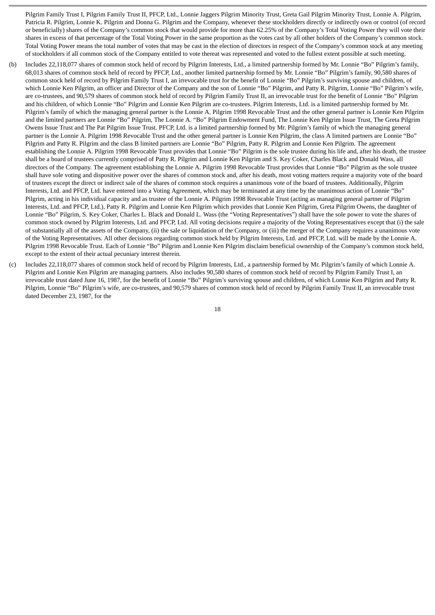Pilgrim Family Trust I, Pilgrim Family Trust II, PFCP, Ltd., Lonnie Jaggers Pilgrim Minority Trust, Greta Gail Pilgrim Minority Trust, Lonnie A. Pilgrim, Patricia R. Pilgrim, Lonnie K. Pilgrim and Donna G. Pilgrim and the Company, whenever these stockholders directly or indirectly own or control (of record or beneficially) shares of the Company's common stock that would provide for more than 62.25% of the Company's Total Voting Power they will vote their shares in excess of that percentage of the Total Voting Power in the same proportion as the votes cast by all other holders of the Company's common stock. Total Voting Power means the total number of votes that may be cast in the election of directors in respect of the Company's common stock at any meeting of stockholders if all common stock of the Company entitled to vote thereat was represented and voted to the fullest extent possible at such meeting.

- (b) Includes 22,118,077 shares of common stock held of record by Pilgrim Interests, Ltd., a limited partnership formed by Mr. Lonnie "Bo" Pilgrim's family, 68,013 shares of common stock held of record by PFCP, Ltd., another limited partnership formed by Mr. Lonnie "Bo" Pilgrim's family, 90,580 shares of common stock held of record by Pilgrim Family Trust I, an irrevocable trust for the benefit of Lonnie "Bo" Pilgrim's surviving spouse and children, of which Lonnie Ken Pilgrim, an officer and Director of the Company and the son of Lonnie "Bo" Pilgrim, and Patty R. Pilgrim, Lonnie "Bo" Pilgrim's wife, are co-trustees, and 90,579 shares of common stock held of record by Pilgrim Family Trust II, an irrevocable trust for the benefit of Lonnie "Bo" Pilgrim and his children, of which Lonnie "Bo" Pilgrim and Lonnie Ken Pilgrim are co-trustees. Pilgrim Interests, Ltd. is a limited partnership formed by Mr. Pilgrim's family of which the managing general partner is the Lonnie A. Pilgrim 1998 Revocable Trust and the other general partner is Lonnie Ken Pilgrim and the limited partners are Lonnie "Bo" Pilgrim, The Lonnie A. "Bo" Pilgrim Endowment Fund, The Lonnie Ken Pilgrim Issue Trust, The Greta Pilgrim Owens Issue Trust and The Pat Pilgrim Issue Trust. PFCP, Ltd. is a limited partnership formed by Mr. Pilgrim's family of which the managing general partner is the Lonnie A. Pilgrim 1998 Revocable Trust and the other general partner is Lonnie Ken Pilgrim, the class A limited partners are Lonnie "Bo" Pilgrim and Patty R. Pilgrim and the class B limited partners are Lonnie "Bo" Pilgrim, Patty R. Pilgrim and Lonnie Ken Pilgrim. The agreement establishing the Lonnie A. Pilgrim 1998 Revocable Trust provides that Lonnie "Bo" Pilgrim is the sole trustee during his life and, after his death, the trustee shall be a board of trustees currently comprised of Patty R. Pilgrim and Lonnie Ken Pilgrim and S. Key Coker, Charles Black and Donald Wass, all directors of the Company. The agreement establishing the Lonnie A. Pilgrim 1998 Revocable Trust provides that Lonnie "Bo" Pilgrim as the sole trustee shall have sole voting and dispositive power over the shares of common stock and, after his death, most voting matters require a majority vote of the board of trustees except the direct or indirect sale of the shares of common stock requires a unanimous vote of the board of trustees. Additionally, Pilgrim Interests, Ltd. and PFCP, Ltd. have entered into a Voting Agreement, which may be terminated at any time by the unanimous action of Lonnie "Bo" Pilgrim, acting in his individual capacity and as trustee of the Lonnie A. Pilgrim 1998 Revocable Trust (acting as managing general partner of Pilgrim Interests, Ltd. and PFCP, Ltd.), Patty R. Pilgrim and Lonnie Ken Pilgrim which provides that Lonnie Ken Pilgrim, Greta Pilgrim Owens, the daughter of Lonnie "Bo" Pilgrim, S. Key Coker, Charles L. Black and Donald L. Wass (the "Voting Representatives") shall have the sole power to vote the shares of common stock owned by Pilgrim Interests, Ltd. and PFCP, Ltd. All voting decisions require a majority of the Voting Representatives except that (i) the sale of substantially all of the assets of the Company, (ii) the sale or liquidation of the Company, or (iii) the merger of the Company requires a unanimous vote of the Voting Representatives. All other decisions regarding common stock held by Pilgrim Interests, Ltd. and PFCP, Ltd. will be made by the Lonnie A. Pilgrim 1998 Revocable Trust. Each of Lonnie "Bo" Pilgrim and Lonnie Ken Pilgrim disclaim beneficial ownership of the Company's common stock held, except to the extent of their actual pecuniary interest therein.
- (c) Includes 22,118,077 shares of common stock held of record by Pilgrim Interests, Ltd., a partnership formed by Mr. Pilgrim's family of which Lonnie A. Pilgrim and Lonnie Ken Pilgrim are managing partners. Also includes 90,580 shares of common stock held of record by Pilgrim Family Trust I, an irrevocable trust dated June 16, 1987, for the benefit of Lonnie "Bo" Pilgrim's surviving spouse and children, of which Lonnie Ken Pilgrim and Patty R. Pilgrim, Lonnie "Bo" Pilgrim's wife, are co-trustees, and 90,579 shares of common stock held of record by Pilgrim Family Trust II, an irrevocable trust dated December 23, 1987, for the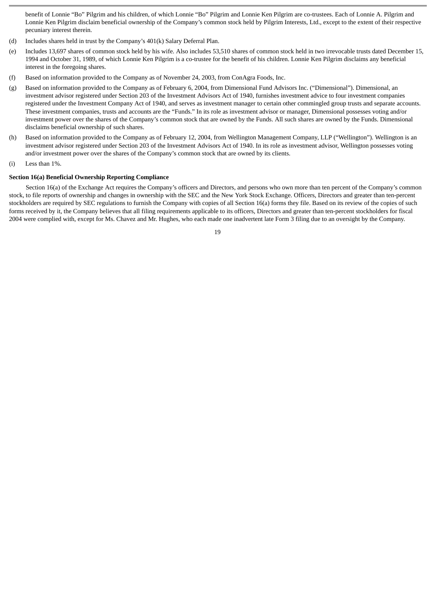benefit of Lonnie "Bo" Pilgrim and his children, of which Lonnie "Bo" Pilgrim and Lonnie Ken Pilgrim are co-trustees. Each of Lonnie A. Pilgrim and Lonnie Ken Pilgrim disclaim beneficial ownership of the Company's common stock held by Pilgrim Interests, Ltd., except to the extent of their respective pecuniary interest therein.

- (d) Includes shares held in trust by the Company's 401(k) Salary Deferral Plan.
- (e) Includes 13,697 shares of common stock held by his wife. Also includes 53,510 shares of common stock held in two irrevocable trusts dated December 15, 1994 and October 31, 1989, of which Lonnie Ken Pilgrim is a co-trustee for the benefit of his children. Lonnie Ken Pilgrim disclaims any beneficial interest in the foregoing shares.
- (f) Based on information provided to the Company as of November 24, 2003, from ConAgra Foods, Inc.
- (g) Based on information provided to the Company as of February 6, 2004, from Dimensional Fund Advisors Inc. ("Dimensional"). Dimensional, an investment advisor registered under Section 203 of the Investment Advisors Act of 1940, furnishes investment advice to four investment companies registered under the Investment Company Act of 1940, and serves as investment manager to certain other commingled group trusts and separate accounts. These investment companies, trusts and accounts are the "Funds." In its role as investment advisor or manager, Dimensional possesses voting and/or investment power over the shares of the Company's common stock that are owned by the Funds. All such shares are owned by the Funds. Dimensional disclaims beneficial ownership of such shares.
- (h) Based on information provided to the Company as of February 12, 2004, from Wellington Management Company, LLP ("Wellington"). Wellington is an investment advisor registered under Section 203 of the Investment Advisors Act of 1940. In its role as investment advisor, Wellington possesses voting and/or investment power over the shares of the Company's common stock that are owned by its clients.
- (i) Less than 1%.

# **Section 16(a) Beneficial Ownership Reporting Compliance**

Section 16(a) of the Exchange Act requires the Company's officers and Directors, and persons who own more than ten percent of the Company's common stock, to file reports of ownership and changes in ownership with the SEC and the New York Stock Exchange. Officers, Directors and greater than ten-percent stockholders are required by SEC regulations to furnish the Company with copies of all Section 16(a) forms they file. Based on its review of the copies of such forms received by it, the Company believes that all filing requirements applicable to its officers, Directors and greater than ten-percent stockholders for fiscal 2004 were complied with, except for Ms. Chavez and Mr. Hughes, who each made one inadvertent late Form 3 filing due to an oversight by the Company.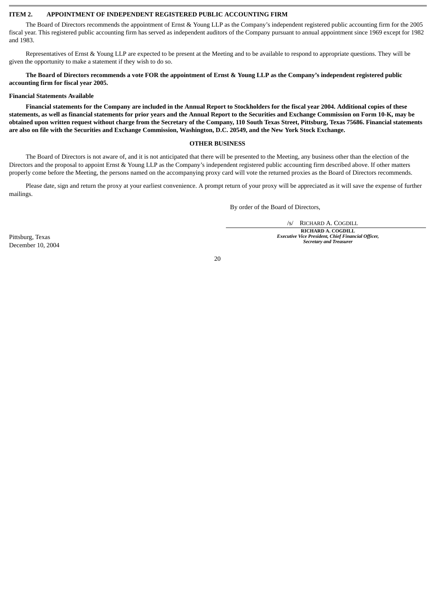# **ITEM 2. APPOINTMENT OF INDEPENDENT REGISTERED PUBLIC ACCOUNTING FIRM**

The Board of Directors recommends the appointment of Ernst & Young LLP as the Company's independent registered public accounting firm for the 2005 fiscal year. This registered public accounting firm has served as independent auditors of the Company pursuant to annual appointment since 1969 except for 1982 and 1983.

Representatives of Ernst & Young LLP are expected to be present at the Meeting and to be available to respond to appropriate questions. They will be given the opportunity to make a statement if they wish to do so.

**The Board of Directors recommends a vote FOR the appointment of Ernst & Young LLP as the Company's independent registered public accounting firm for fiscal year 2005.**

#### **Financial Statements Available**

**Financial statements for the Company are included in the Annual Report to Stockholders for the fiscal year 2004. Additional copies of these statements, as well as financial statements for prior years and the Annual Report to the Securities and Exchange Commission on Form 10-K, may be obtained upon written request without charge from the Secretary of the Company, 110 South Texas Street, Pittsburg, Texas 75686. Financial statements are also on file with the Securities and Exchange Commission, Washington, D.C. 20549, and the New York Stock Exchange.**

# **OTHER BUSINESS**

The Board of Directors is not aware of, and it is not anticipated that there will be presented to the Meeting, any business other than the election of the Directors and the proposal to appoint Ernst & Young LLP as the Company's independent registered public accounting firm described above. If other matters properly come before the Meeting, the persons named on the accompanying proxy card will vote the returned proxies as the Board of Directors recommends.

Please date, sign and return the proxy at your earliest convenience. A prompt return of your proxy will be appreciated as it will save the expense of further mailings.

By order of the Board of Directors,

/s/ RICHARD A. COGDILL

**RICHARD A. COGDILL** *Executive Vice President, Chief Financial Officer, Secretary and Treasurer*

Pittsburg, Texas December 10, 2004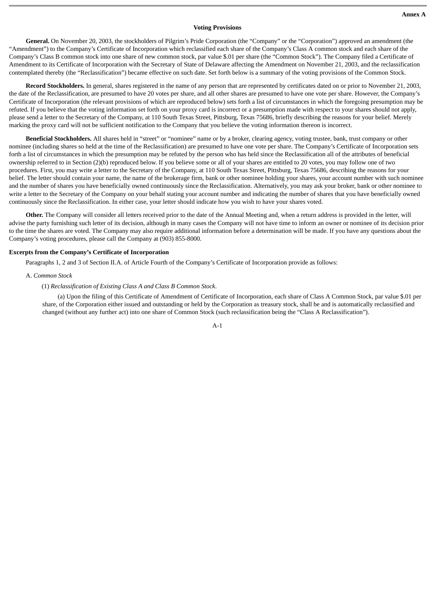# **Voting Provisions**

**General.** On November 20, 2003, the stockholders of Pilgrim's Pride Corporation (the "Company" or the "Corporation") approved an amendment (the "Amendment") to the Company's Certificate of Incorporation which reclassified each share of the Company's Class A common stock and each share of the Company's Class B common stock into one share of new common stock, par value \$.01 per share (the "Common Stock"). The Company filed a Certificate of Amendment to its Certificate of Incorporation with the Secretary of State of Delaware affecting the Amendment on November 21, 2003, and the reclassification contemplated thereby (the "Reclassification") became effective on such date. Set forth below is a summary of the voting provisions of the Common Stock.

**Record Stockholders.** In general, shares registered in the name of any person that are represented by certificates dated on or prior to November 21, 2003, the date of the Reclassification, are presumed to have 20 votes per share, and all other shares are presumed to have one vote per share. However, the Company's Certificate of Incorporation (the relevant provisions of which are reproduced below) sets forth a list of circumstances in which the foregoing presumption may be refuted. If you believe that the voting information set forth on your proxy card is incorrect or a presumption made with respect to your shares should not apply, please send a letter to the Secretary of the Company, at 110 South Texas Street, Pittsburg, Texas 75686, briefly describing the reasons for your belief. Merely marking the proxy card will not be sufficient notification to the Company that you believe the voting information thereon is incorrect.

**Beneficial Stockholders.** All shares held in "street" or "nominee" name or by a broker, clearing agency, voting trustee, bank, trust company or other nominee (including shares so held at the time of the Reclassification) are presumed to have one vote per share. The Company's Certificate of Incorporation sets forth a list of circumstances in which the presumption may be refuted by the person who has held since the Reclassification all of the attributes of beneficial ownership referred to in Section (2)(b) reproduced below. If you believe some or all of your shares are entitled to 20 votes, you may follow one of two procedures. First, you may write a letter to the Secretary of the Company, at 110 South Texas Street, Pittsburg, Texas 75686, describing the reasons for your belief. The letter should contain your name, the name of the brokerage firm, bank or other nominee holding your shares, your account number with such nominee and the number of shares you have beneficially owned continuously since the Reclassification. Alternatively, you may ask your broker, bank or other nominee to write a letter to the Secretary of the Company on your behalf stating your account number and indicating the number of shares that you have beneficially owned continuously since the Reclassification. In either case, your letter should indicate how you wish to have your shares voted.

**Other.** The Company will consider all letters received prior to the date of the Annual Meeting and, when a return address is provided in the letter, will advise the party furnishing such letter of its decision, although in many cases the Company will not have time to inform an owner or nominee of its decision prior to the time the shares are voted. The Company may also require additional information before a determination will be made. If you have any questions about the Company's voting procedures, please call the Company at (903) 855-8000.

# **Excerpts from the Company's Certificate of Incorporation**

Paragraphs 1, 2 and 3 of Section II.A. of Article Fourth of the Company's Certificate of Incorporation provide as follows:

# A. *Common Stock*

(1) *Reclassification of Existing Class A and Class B Common Stock*.

(a) Upon the filing of this Certificate of Amendment of Certificate of Incorporation, each share of Class A Common Stock, par value \$.01 per share, of the Corporation either issued and outstanding or held by the Corporation as treasury stock, shall be and is automatically reclassified and changed (without any further act) into one share of Common Stock (such reclassification being the "Class A Reclassification").

A-1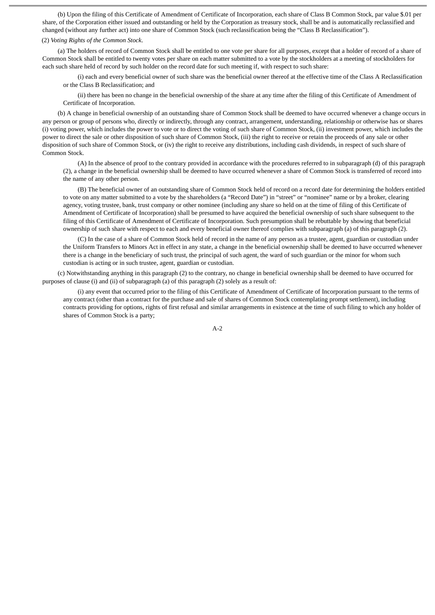(b) Upon the filing of this Certificate of Amendment of Certificate of Incorporation, each share of Class B Common Stock, par value \$.01 per share, of the Corporation either issued and outstanding or held by the Corporation as treasury stock, shall be and is automatically reclassified and changed (without any further act) into one share of Common Stock (such reclassification being the "Class B Reclassification").

# (2) *Voting Rights of the Common Stock*.

(a) The holders of record of Common Stock shall be entitled to one vote per share for all purposes, except that a holder of record of a share of Common Stock shall be entitled to twenty votes per share on each matter submitted to a vote by the stockholders at a meeting of stockholders for each such share held of record by such holder on the record date for such meeting if, with respect to such share:

(i) each and every beneficial owner of such share was the beneficial owner thereof at the effective time of the Class A Reclassification or the Class B Reclassification; and

(ii) there has been no change in the beneficial ownership of the share at any time after the filing of this Certificate of Amendment of Certificate of Incorporation.

(b) A change in beneficial ownership of an outstanding share of Common Stock shall be deemed to have occurred whenever a change occurs in any person or group of persons who, directly or indirectly, through any contract, arrangement, understanding, relationship or otherwise has or shares (i) voting power, which includes the power to vote or to direct the voting of such share of Common Stock, (ii) investment power, which includes the power to direct the sale or other disposition of such share of Common Stock, (iii) the right to receive or retain the proceeds of any sale or other disposition of such share of Common Stock, or (iv) the right to receive any distributions, including cash dividends, in respect of such share of Common Stock.

(A) In the absence of proof to the contrary provided in accordance with the procedures referred to in subparagraph (d) of this paragraph (2), a change in the beneficial ownership shall be deemed to have occurred whenever a share of Common Stock is transferred of record into the name of any other person.

(B) The beneficial owner of an outstanding share of Common Stock held of record on a record date for determining the holders entitled to vote on any matter submitted to a vote by the shareholders (a "Record Date") in "street" or "nominee" name or by a broker, clearing agency, voting trustee, bank, trust company or other nominee (including any share so held on at the time of filing of this Certificate of Amendment of Certificate of Incorporation) shall be presumed to have acquired the beneficial ownership of such share subsequent to the filing of this Certificate of Amendment of Certificate of Incorporation. Such presumption shall be rebuttable by showing that beneficial ownership of such share with respect to each and every beneficial owner thereof complies with subparagraph (a) of this paragraph (2).

(C) In the case of a share of Common Stock held of record in the name of any person as a trustee, agent, guardian or custodian under the Uniform Transfers to Minors Act in effect in any state, a change in the beneficial ownership shall be deemed to have occurred whenever there is a change in the beneficiary of such trust, the principal of such agent, the ward of such guardian or the minor for whom such custodian is acting or in such trustee, agent, guardian or custodian.

(c) Notwithstanding anything in this paragraph (2) to the contrary, no change in beneficial ownership shall be deemed to have occurred for purposes of clause (i) and (ii) of subparagraph (a) of this paragraph (2) solely as a result of:

(i) any event that occurred prior to the filing of this Certificate of Amendment of Certificate of Incorporation pursuant to the terms of any contract (other than a contract for the purchase and sale of shares of Common Stock contemplating prompt settlement), including contracts providing for options, rights of first refusal and similar arrangements in existence at the time of such filing to which any holder of shares of Common Stock is a party;

A-2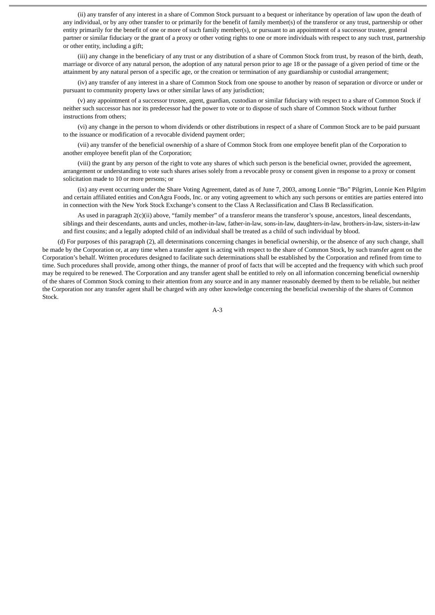(ii) any transfer of any interest in a share of Common Stock pursuant to a bequest or inheritance by operation of law upon the death of any individual, or by any other transfer to or primarily for the benefit of family member(s) of the transferor or any trust, partnership or other entity primarily for the benefit of one or more of such family member(s), or pursuant to an appointment of a successor trustee, general partner or similar fiduciary or the grant of a proxy or other voting rights to one or more individuals with respect to any such trust, partnership or other entity, including a gift;

(iii) any change in the beneficiary of any trust or any distribution of a share of Common Stock from trust, by reason of the birth, death, marriage or divorce of any natural person, the adoption of any natural person prior to age 18 or the passage of a given period of time or the attainment by any natural person of a specific age, or the creation or termination of any guardianship or custodial arrangement;

(iv) any transfer of any interest in a share of Common Stock from one spouse to another by reason of separation or divorce or under or pursuant to community property laws or other similar laws of any jurisdiction;

(v) any appointment of a successor trustee, agent, guardian, custodian or similar fiduciary with respect to a share of Common Stock if neither such successor has nor its predecessor had the power to vote or to dispose of such share of Common Stock without further instructions from others;

(vi) any change in the person to whom dividends or other distributions in respect of a share of Common Stock are to be paid pursuant to the issuance or modification of a revocable dividend payment order;

(vii) any transfer of the beneficial ownership of a share of Common Stock from one employee benefit plan of the Corporation to another employee benefit plan of the Corporation;

(viii) the grant by any person of the right to vote any shares of which such person is the beneficial owner, provided the agreement, arrangement or understanding to vote such shares arises solely from a revocable proxy or consent given in response to a proxy or consent solicitation made to 10 or more persons; or

(ix) any event occurring under the Share Voting Agreement, dated as of June 7, 2003, among Lonnie "Bo" Pilgrim, Lonnie Ken Pilgrim and certain affiliated entities and ConAgra Foods, Inc. or any voting agreement to which any such persons or entities are parties entered into in connection with the New York Stock Exchange's consent to the Class A Reclassification and Class B Reclassification.

As used in paragraph 2(c)(ii) above, "family member" of a transferor means the transferor's spouse, ancestors, lineal descendants, siblings and their descendants, aunts and uncles, mother-in-law, father-in-law, sons-in-law, daughters-in-law, brothers-in-law, sisters-in-law and first cousins; and a legally adopted child of an individual shall be treated as a child of such individual by blood.

(d) For purposes of this paragraph (2), all determinations concerning changes in beneficial ownership, or the absence of any such change, shall be made by the Corporation or, at any time when a transfer agent is acting with respect to the share of Common Stock, by such transfer agent on the Corporation's behalf. Written procedures designed to facilitate such determinations shall be established by the Corporation and refined from time to time. Such procedures shall provide, among other things, the manner of proof of facts that will be accepted and the frequency with which such proof may be required to be renewed. The Corporation and any transfer agent shall be entitled to rely on all information concerning beneficial ownership of the shares of Common Stock coming to their attention from any source and in any manner reasonably deemed by them to be reliable, but neither the Corporation nor any transfer agent shall be charged with any other knowledge concerning the beneficial ownership of the shares of Common Stock.

A-3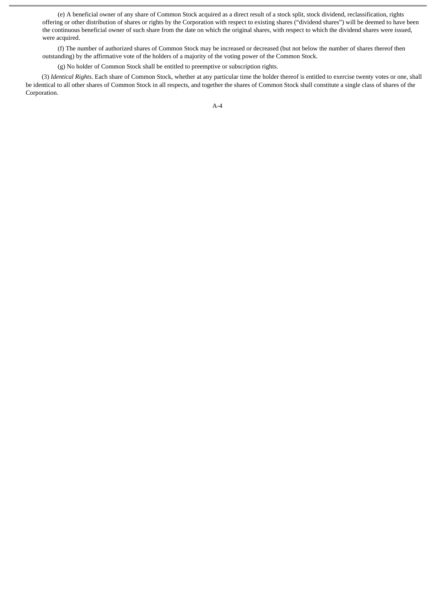(e) A beneficial owner of any share of Common Stock acquired as a direct result of a stock split, stock dividend, reclassification, rights offering or other distribution of shares or rights by the Corporation with respect to existing shares ("dividend shares") will be deemed to have been the continuous beneficial owner of such share from the date on which the original shares, with respect to which the dividend shares were issued, were acquired.

(f) The number of authorized shares of Common Stock may be increased or decreased (but not below the number of shares thereof then outstanding) by the affirmative vote of the holders of a majority of the voting power of the Common Stock.

(g) No holder of Common Stock shall be entitled to preemptive or subscription rights.

(3) *Identical Rights*. Each share of Common Stock, whether at any particular time the holder thereof is entitled to exercise twenty votes or one, shall be identical to all other shares of Common Stock in all respects, and together the shares of Common Stock shall constitute a single class of shares of the Corporation.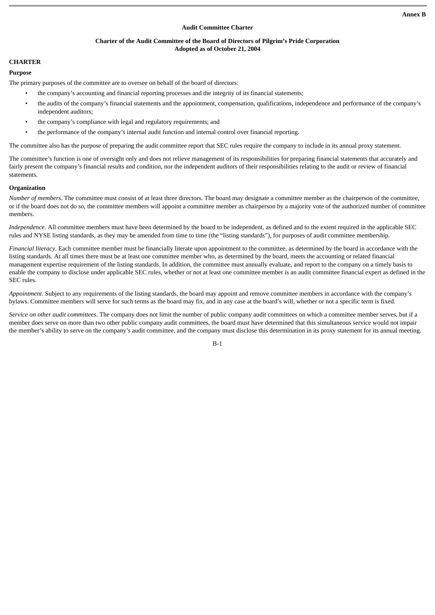# **Audit Committee Charter**

# **Charter of the Audit Committee of the Board of Directors of Pilgrim's Pride Corporation Adopted as of October 21, 2004**

# **CHARTER**

# **Purpose**

The primary purposes of the committee are to oversee on behalf of the board of directors:

- the company's accounting and financial reporting processes and the integrity of its financial statements;
- the audits of the company's financial statements and the appointment, compensation, qualifications, independence and performance of the company's independent auditors;
- the company's compliance with legal and regulatory requirements; and
- the performance of the company's internal audit function and internal control over financial reporting.

The committee also has the purpose of preparing the audit committee report that SEC rules require the company to include in its annual proxy statement.

The committee's function is one of oversight only and does not relieve management of its responsibilities for preparing financial statements that accurately and fairly present the company's financial results and condition, nor the independent auditors of their responsibilities relating to the audit or review of financial statements.

# **Organization**

*Number of members*. The committee must consist of at least three directors. The board may designate a committee member as the chairperson of the committee, or if the board does not do so, the committee members will appoint a committee member as chairperson by a majority vote of the authorized number of committee members.

*Independence*. All committee members must have been determined by the board to be independent, as defined and to the extent required in the applicable SEC rules and NYSE listing standards, as they may be amended from time to time (the "listing standards"), for purposes of audit committee membership.

*Financial literacy*. Each committee member must be financially literate upon appointment to the committee, as determined by the board in accordance with the listing standards. At all times there must be at least one committee member who, as determined by the board, meets the accounting or related financial management expertise requirement of the listing standards. In addition, the committee must annually evaluate, and report to the company on a timely basis to enable the company to disclose under applicable SEC rules, whether or not at least one committee member is an audit committee financial expert as defined in the SEC rules.

*Appointment*. Subject to any requirements of the listing standards, the board may appoint and remove committee members in accordance with the company's bylaws. Committee members will serve for such terms as the board may fix, and in any case at the board's will, whether or not a specific term is fixed.

*Service on other audit committees*. The company does not limit the number of public company audit committees on which a committee member serves, but if a member does serve on more than two other public company audit committees, the board must have determined that this simultaneous service would not impair the member's ability to serve on the company's audit committee, and the company must disclose this determination in its proxy statement for its annual meeting.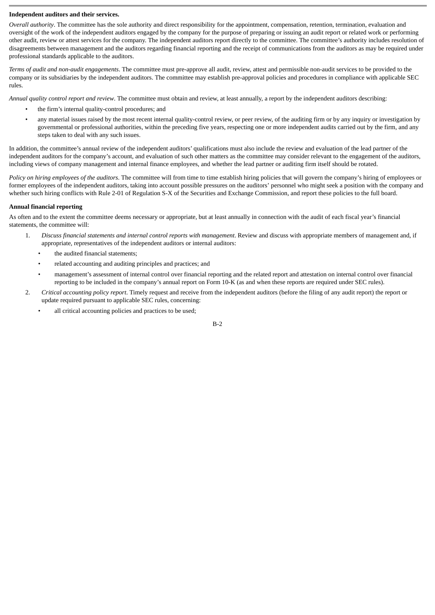# **Independent auditors and their services.**

*Overall authority*. The committee has the sole authority and direct responsibility for the appointment, compensation, retention, termination, evaluation and oversight of the work of the independent auditors engaged by the company for the purpose of preparing or issuing an audit report or related work or performing other audit, review or attest services for the company. The independent auditors report directly to the committee. The committee's authority includes resolution of disagreements between management and the auditors regarding financial reporting and the receipt of communications from the auditors as may be required under professional standards applicable to the auditors.

*Terms of audit and non-audit engagements*. The committee must pre-approve all audit, review, attest and permissible non-audit services to be provided to the company or its subsidiaries by the independent auditors. The committee may establish pre-approval policies and procedures in compliance with applicable SEC rules.

*Annual quality control report and review*. The committee must obtain and review, at least annually, a report by the independent auditors describing:

- the firm's internal quality-control procedures; and
- any material issues raised by the most recent internal quality-control review, or peer review, of the auditing firm or by any inquiry or investigation by governmental or professional authorities, within the preceding five years, respecting one or more independent audits carried out by the firm, and any steps taken to deal with any such issues.

In addition, the committee's annual review of the independent auditors' qualifications must also include the review and evaluation of the lead partner of the independent auditors for the company's account, and evaluation of such other matters as the committee may consider relevant to the engagement of the auditors, including views of company management and internal finance employees, and whether the lead partner or auditing firm itself should be rotated.

*Policy on hiring employees of the auditors*. The committee will from time to time establish hiring policies that will govern the company's hiring of employees or former employees of the independent auditors, taking into account possible pressures on the auditors' personnel who might seek a position with the company and whether such hiring conflicts with Rule 2-01 of Regulation S-X of the Securities and Exchange Commission, and report these policies to the full board.

# **Annual financial reporting**

As often and to the extent the committee deems necessary or appropriate, but at least annually in connection with the audit of each fiscal year's financial statements, the committee will:

- 1. *Discuss financial statements and internal control reports with management*. Review and discuss with appropriate members of management and, if appropriate, representatives of the independent auditors or internal auditors:
	- the audited financial statements;
	- related accounting and auditing principles and practices; and
	- management's assessment of internal control over financial reporting and the related report and attestation on internal control over financial reporting to be included in the company's annual report on Form 10-K (as and when these reports are required under SEC rules).
- 2. *Critical accounting policy report*. Timely request and receive from the independent auditors (before the filing of any audit report) the report or update required pursuant to applicable SEC rules, concerning:
	- all critical accounting policies and practices to be used;

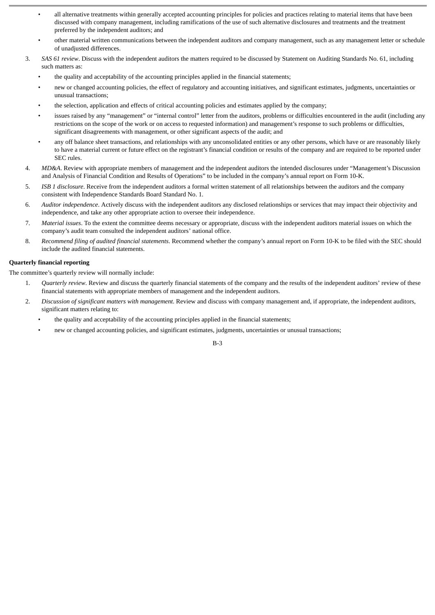- all alternative treatments within generally accepted accounting principles for policies and practices relating to material items that have been discussed with company management, including ramifications of the use of such alternative disclosures and treatments and the treatment preferred by the independent auditors; and
- other material written communications between the independent auditors and company management, such as any management letter or schedule of unadjusted differences.
- 3. *SAS 61 review*. Discuss with the independent auditors the matters required to be discussed by Statement on Auditing Standards No. 61, including such matters as:
	- the quality and acceptability of the accounting principles applied in the financial statements;
	- new or changed accounting policies, the effect of regulatory and accounting initiatives, and significant estimates, judgments, uncertainties or unusual transactions;
	- the selection, application and effects of critical accounting policies and estimates applied by the company;
	- issues raised by any "management" or "internal control" letter from the auditors, problems or difficulties encountered in the audit (including any restrictions on the scope of the work or on access to requested information) and management's response to such problems or difficulties, significant disagreements with management, or other significant aspects of the audit; and
	- any off balance sheet transactions, and relationships with any unconsolidated entities or any other persons, which have or are reasonably likely to have a material current or future effect on the registrant's financial condition or results of the company and are required to be reported under SEC rules.
- 4. *MD&A*. Review with appropriate members of management and the independent auditors the intended disclosures under "Management's Discussion and Analysis of Financial Condition and Results of Operations" to be included in the company's annual report on Form 10-K.
- 5. *ISB 1 disclosure*. Receive from the independent auditors a formal written statement of all relationships between the auditors and the company consistent with Independence Standards Board Standard No. 1.
- 6. *Auditor independence*. Actively discuss with the independent auditors any disclosed relationships or services that may impact their objectivity and independence, and take any other appropriate action to oversee their independence.
- 7. *Material issues*. To the extent the committee deems necessary or appropriate, discuss with the independent auditors material issues on which the company's audit team consulted the independent auditors' national office.
- 8. *Recommend filing of audited financial statements*. Recommend whether the company's annual report on Form 10-K to be filed with the SEC should include the audited financial statements.

# **Quarterly financial reporting**

The committee's quarterly review will normally include:

- 1. *Quarterly review*. Review and discuss the quarterly financial statements of the company and the results of the independent auditors' review of these financial statements with appropriate members of management and the independent auditors.
- 2. *Discussion of significant matters with management*. Review and discuss with company management and, if appropriate, the independent auditors, significant matters relating to:
	- the quality and acceptability of the accounting principles applied in the financial statements;
	- new or changed accounting policies, and significant estimates, judgments, uncertainties or unusual transactions;

# B-3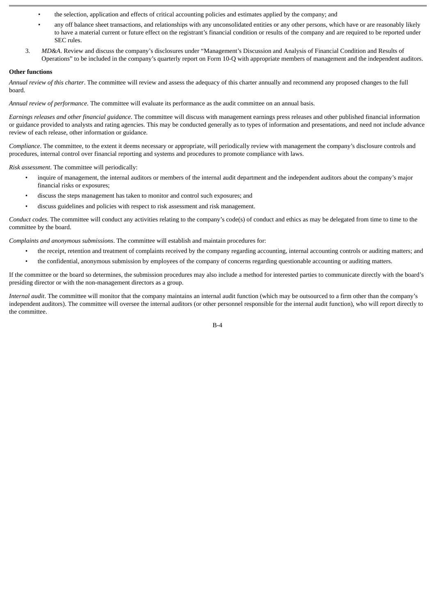- the selection, application and effects of critical accounting policies and estimates applied by the company; and
- any off balance sheet transactions, and relationships with any unconsolidated entities or any other persons, which have or are reasonably likely to have a material current or future effect on the registrant's financial condition or results of the company and are required to be reported under SEC rules.
- 3. *MD&A*. Review and discuss the company's disclosures under "Management's Discussion and Analysis of Financial Condition and Results of Operations" to be included in the company's quarterly report on Form 10-Q with appropriate members of management and the independent auditors.

# **Other functions**

*Annual review of this charter*. The committee will review and assess the adequacy of this charter annually and recommend any proposed changes to the full board.

*Annual review of performance*. The committee will evaluate its performance as the audit committee on an annual basis.

*Earnings releases and other financial guidance*. The committee will discuss with management earnings press releases and other published financial information or guidance provided to analysts and rating agencies. This may be conducted generally as to types of information and presentations, and need not include advance review of each release, other information or guidance.

*Compliance*. The committee, to the extent it deems necessary or appropriate, will periodically review with management the company's disclosure controls and procedures, internal control over financial reporting and systems and procedures to promote compliance with laws.

*Risk assessment*. The committee will periodically:

- inquire of management, the internal auditors or members of the internal audit department and the independent auditors about the company's major financial risks or exposures;
- discuss the steps management has taken to monitor and control such exposures; and
- discuss guidelines and policies with respect to risk assessment and risk management.

*Conduct codes*. The committee will conduct any activities relating to the company's code(s) of conduct and ethics as may be delegated from time to time to the committee by the board.

*Complaints and anonymous submissions*. The committee will establish and maintain procedures for:

- the receipt, retention and treatment of complaints received by the company regarding accounting, internal accounting controls or auditing matters; and
- the confidential, anonymous submission by employees of the company of concerns regarding questionable accounting or auditing matters.

If the committee or the board so determines, the submission procedures may also include a method for interested parties to communicate directly with the board's presiding director or with the non-management directors as a group.

*Internal audit*. The committee will monitor that the company maintains an internal audit function (which may be outsourced to a firm other than the company's independent auditors). The committee will oversee the internal auditors (or other personnel responsible for the internal audit function), who will report directly to the committee.

 $R_{-4}$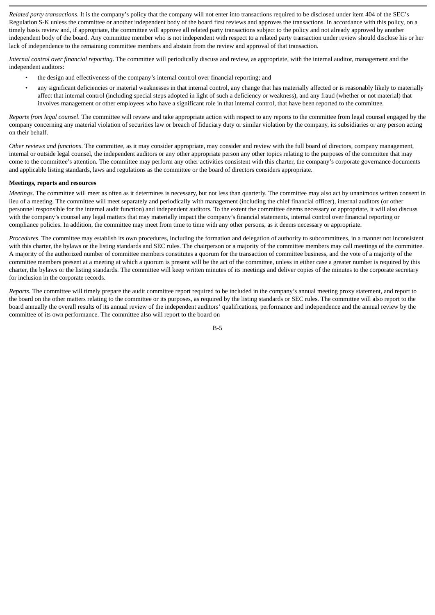*Related party transactions*. It is the company's policy that the company will not enter into transactions required to be disclosed under item 404 of the SEC's Regulation S-K unless the committee or another independent body of the board first reviews and approves the transactions. In accordance with this policy, on a timely basis review and, if appropriate, the committee will approve all related party transactions subject to the policy and not already approved by another independent body of the board. Any committee member who is not independent with respect to a related party transaction under review should disclose his or her lack of independence to the remaining committee members and abstain from the review and approval of that transaction.

*Internal control over financial reporting*. The committee will periodically discuss and review, as appropriate, with the internal auditor, management and the independent auditors:

- the design and effectiveness of the company's internal control over financial reporting; and
- any significant deficiencies or material weaknesses in that internal control, any change that has materially affected or is reasonably likely to materially affect that internal control (including special steps adopted in light of such a deficiency or weakness), and any fraud (whether or not material) that involves management or other employees who have a significant role in that internal control, that have been reported to the committee.

*Reports from legal counsel*. The committee will review and take appropriate action with respect to any reports to the committee from legal counsel engaged by the company concerning any material violation of securities law or breach of fiduciary duty or similar violation by the company, its subsidiaries or any person acting on their behalf.

*Other reviews and functions*. The committee, as it may consider appropriate, may consider and review with the full board of directors, company management, internal or outside legal counsel, the independent auditors or any other appropriate person any other topics relating to the purposes of the committee that may come to the committee's attention. The committee may perform any other activities consistent with this charter, the company's corporate governance documents and applicable listing standards, laws and regulations as the committee or the board of directors considers appropriate.

#### **Meetings, reports and resources**

*Meetings*. The committee will meet as often as it determines is necessary, but not less than quarterly. The committee may also act by unanimous written consent in lieu of a meeting. The committee will meet separately and periodically with management (including the chief financial officer), internal auditors (or other personnel responsible for the internal audit function) and independent auditors. To the extent the committee deems necessary or appropriate, it will also discuss with the company's counsel any legal matters that may materially impact the company's financial statements, internal control over financial reporting or compliance policies. In addition, the committee may meet from time to time with any other persons, as it deems necessary or appropriate.

*Procedures*. The committee may establish its own procedures, including the formation and delegation of authority to subcommittees, in a manner not inconsistent with this charter, the bylaws or the listing standards and SEC rules. The chairperson or a majority of the committee members may call meetings of the committee. A majority of the authorized number of committee members constitutes a quorum for the transaction of committee business, and the vote of a majority of the committee members present at a meeting at which a quorum is present will be the act of the committee, unless in either case a greater number is required by this charter, the bylaws or the listing standards. The committee will keep written minutes of its meetings and deliver copies of the minutes to the corporate secretary for inclusion in the corporate records.

*Reports*. The committee will timely prepare the audit committee report required to be included in the company's annual meeting proxy statement, and report to the board on the other matters relating to the committee or its purposes, as required by the listing standards or SEC rules. The committee will also report to the board annually the overall results of its annual review of the independent auditors' qualifications, performance and independence and the annual review by the committee of its own performance. The committee also will report to the board on

B-5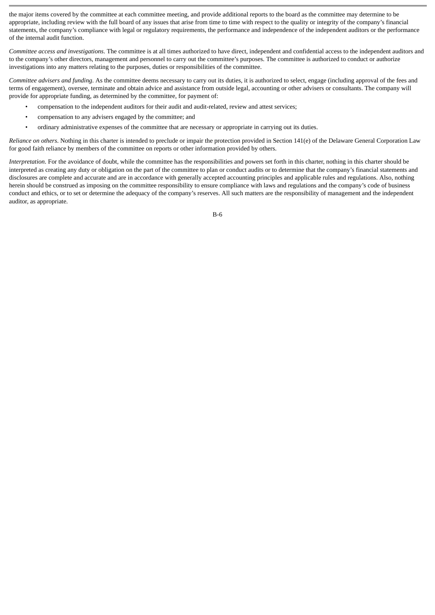the major items covered by the committee at each committee meeting, and provide additional reports to the board as the committee may determine to be appropriate, including review with the full board of any issues that arise from time to time with respect to the quality or integrity of the company's financial statements, the company's compliance with legal or regulatory requirements, the performance and independence of the independent auditors or the performance of the internal audit function.

*Committee access and investigations*. The committee is at all times authorized to have direct, independent and confidential access to the independent auditors and to the company's other directors, management and personnel to carry out the committee's purposes. The committee is authorized to conduct or authorize investigations into any matters relating to the purposes, duties or responsibilities of the committee.

*Committee advisers and funding*. As the committee deems necessary to carry out its duties, it is authorized to select, engage (including approval of the fees and terms of engagement), oversee, terminate and obtain advice and assistance from outside legal, accounting or other advisers or consultants. The company will provide for appropriate funding, as determined by the committee, for payment of:

- compensation to the independent auditors for their audit and audit-related, review and attest services;
- compensation to any advisers engaged by the committee; and
- ordinary administrative expenses of the committee that are necessary or appropriate in carrying out its duties.

*Reliance on others*. Nothing in this charter is intended to preclude or impair the protection provided in Section 141(e) of the Delaware General Corporation Law for good faith reliance by members of the committee on reports or other information provided by others.

*Interpretation*. For the avoidance of doubt, while the committee has the responsibilities and powers set forth in this charter, nothing in this charter should be interpreted as creating any duty or obligation on the part of the committee to plan or conduct audits or to determine that the company's financial statements and disclosures are complete and accurate and are in accordance with generally accepted accounting principles and applicable rules and regulations. Also, nothing herein should be construed as imposing on the committee responsibility to ensure compliance with laws and regulations and the company's code of business conduct and ethics, or to set or determine the adequacy of the company's reserves. All such matters are the responsibility of management and the independent auditor, as appropriate.

B-6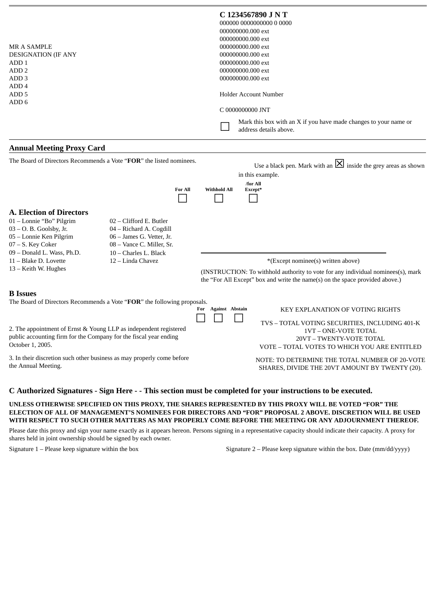| <b>MR A SAMPLE</b><br><b>DESIGNATION (IF ANY</b><br>ADD <sub>1</sub><br>ADD <sub>2</sub><br>ADD <sub>3</sub><br>ADD <sub>4</sub>                                        |                                                                                                                                       |                     | C 1234567890 J N T<br>000000 0000000000 00000<br>000000000.000 ext<br>000000000.000 ext<br>000000000.000 ext<br>000000000.000 ext<br>000000000.000 ext<br>000000000.000 ext<br>000000000.000 ext<br><b>Holder Account Number</b> |
|-------------------------------------------------------------------------------------------------------------------------------------------------------------------------|---------------------------------------------------------------------------------------------------------------------------------------|---------------------|----------------------------------------------------------------------------------------------------------------------------------------------------------------------------------------------------------------------------------|
| ADD <sub>5</sub><br>ADD <sub>6</sub>                                                                                                                                    |                                                                                                                                       |                     |                                                                                                                                                                                                                                  |
|                                                                                                                                                                         |                                                                                                                                       |                     | C 0000000000 JNT                                                                                                                                                                                                                 |
|                                                                                                                                                                         |                                                                                                                                       |                     | Mark this box with an X if you have made changes to your name or<br>address details above.                                                                                                                                       |
| <b>Annual Meeting Proxy Card</b>                                                                                                                                        |                                                                                                                                       |                     |                                                                                                                                                                                                                                  |
|                                                                                                                                                                         | The Board of Directors Recommends a Vote "FOR" the listed nominees.<br><b>For All</b>                                                 | <b>Withhold All</b> | Use a black pen. Mark with an $\boxtimes$ inside the grey areas as shown<br>in this example.<br>/for All<br>Except*                                                                                                              |
|                                                                                                                                                                         |                                                                                                                                       |                     |                                                                                                                                                                                                                                  |
| <b>A. Election of Directors</b><br>01 - Lonnie "Bo" Pilgrim<br>$03 - O$ . B. Goolsby, Jr.<br>05 - Lonnie Ken Pilgrim<br>07 - S. Key Coker<br>09 - Donald L. Wass, Ph.D. | 02 - Clifford E. Butler<br>04 - Richard A. Cogdill<br>06 - James G. Vetter, Jr.<br>08 - Vance C. Miller, Sr.<br>10 - Charles L. Black |                     |                                                                                                                                                                                                                                  |
| 11 - Blake D. Lovette<br>12 - Linda Chavez                                                                                                                              |                                                                                                                                       |                     | *(Except nominee(s) written above)                                                                                                                                                                                               |
| 13 – Keith W. Hughes                                                                                                                                                    |                                                                                                                                       |                     | (INSTRUCTION: To withhold authority to vote for any individual nominees(s), mark<br>the "For All Except" box and write the name(s) on the space provided above.)                                                                 |
| <b>B</b> Issues                                                                                                                                                         | The Board of Directors Recommends a Vote "FOR" the following proposals.                                                               | For Against Abstain | <b>KEY EXPLANATION OF VOTING RIGHTS</b><br>TVS - TOTAL VOTING SECURITIES, INCLUDING 401-K                                                                                                                                        |

2. The appointment of Ernst & Young LLP as independent registered public accounting firm for the Company for the fiscal year ending October 1, 2005.

3. In their discretion such other business as may properly come before the Annual Meeting.

NOTE: TO DETERMINE THE TOTAL NUMBER OF 20-VOTE SHARES, DIVIDE THE 20VT AMOUNT BY TWENTY (20).

1VT – ONE-VOTE TOTAL 20VT – TWENTY-VOTE TOTAL VOTE – TOTAL VOTES TO WHICH YOU ARE ENTITLED

# **C Authorized Signatures - Sign Here - - This section must be completed for your instructions to be executed.**

**UNLESS OTHERWISE SPECIFIED ON THIS PROXY, THE SHARES REPRESENTED BY THIS PROXY WILL BE VOTED "FOR" THE ELECTION OF ALL OF MANAGEMENT'S NOMINEES FOR DIRECTORS AND "FOR" PROPOSAL 2 ABOVE. DISCRETION WILL BE USED WITH RESPECT TO SUCH OTHER MATTERS AS MAY PROPERLY COME BEFORE THE MEETING OR ANY ADJOURNMENT THEREOF.**

Please date this proxy and sign your name exactly as it appears hereon. Persons signing in a representative capacity should indicate their capacity. A proxy for shares held in joint ownership should be signed by each owner.

Signature 1 – Please keep signature within the box Signature 2 – Please keep signature within the box. Date (mm/dd/yyyy)